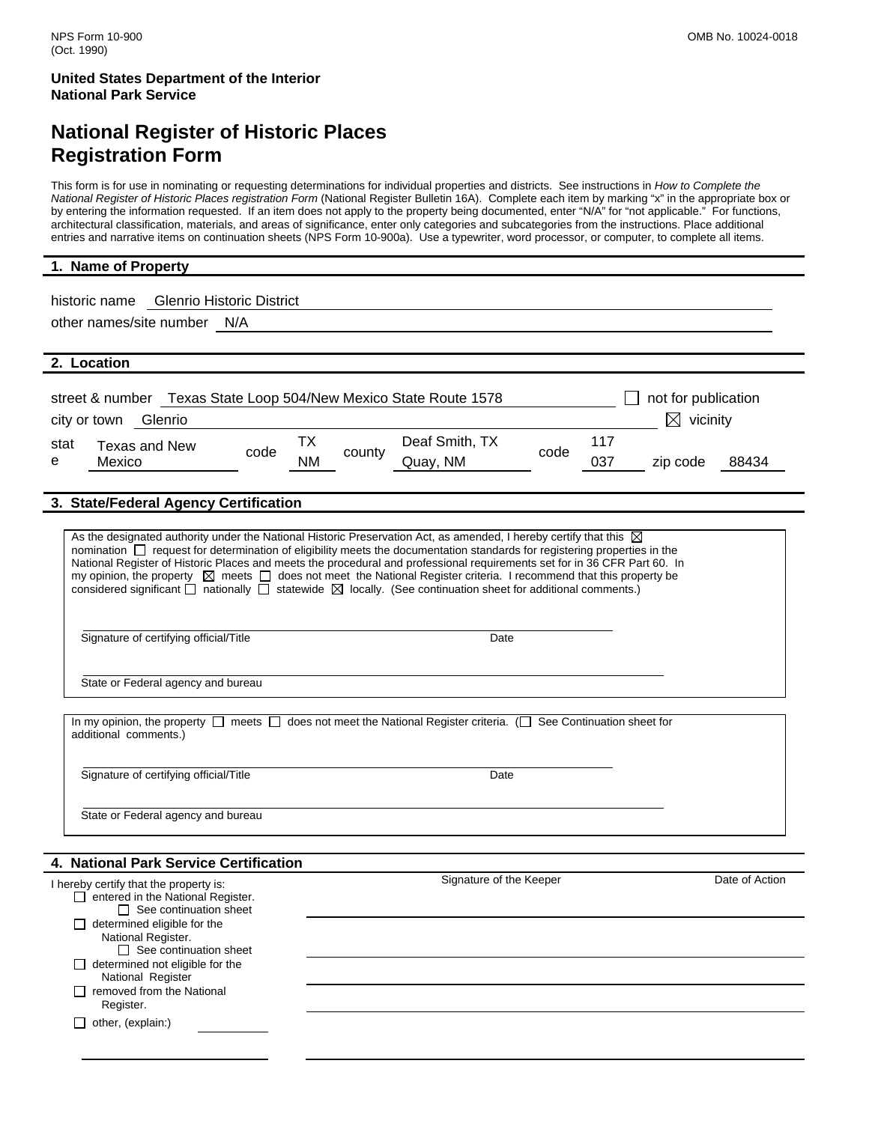## **National Register of Historic Places Registration Form**

This form is for use in nominating or requesting determinations for individual properties and districts. See instructions in *How to Complete the National Register of Historic Places registration Form* (National Register Bulletin 16A). Complete each item by marking "x" in the appropriate box or by entering the information requested. If an item does not apply to the property being documented, enter "N/A" for "not applicable." For functions, architectural classification, materials, and areas of significance, enter only categories and subcategories from the instructions. Place additional entries and narrative items on continuation sheets (NPS Form 10-900a). Use a typewriter, word processor, or computer, to complete all items.

#### **1. Name of Property**

| historic name Glenrio Historic District                                                                                                                                                                                                                                                                                                                                                                                                                                                                                                                                                                                                                         |                           |                            |      |            |                      |                |  |  |
|-----------------------------------------------------------------------------------------------------------------------------------------------------------------------------------------------------------------------------------------------------------------------------------------------------------------------------------------------------------------------------------------------------------------------------------------------------------------------------------------------------------------------------------------------------------------------------------------------------------------------------------------------------------------|---------------------------|----------------------------|------|------------|----------------------|----------------|--|--|
| other names/site number N/A                                                                                                                                                                                                                                                                                                                                                                                                                                                                                                                                                                                                                                     |                           |                            |      |            |                      |                |  |  |
| 2. Location                                                                                                                                                                                                                                                                                                                                                                                                                                                                                                                                                                                                                                                     |                           |                            |      |            |                      |                |  |  |
|                                                                                                                                                                                                                                                                                                                                                                                                                                                                                                                                                                                                                                                                 |                           |                            |      |            |                      |                |  |  |
| street & number Texas State Loop 504/New Mexico State Route 1578                                                                                                                                                                                                                                                                                                                                                                                                                                                                                                                                                                                                |                           |                            |      |            | not for publication  |                |  |  |
| city or town Glenrio                                                                                                                                                                                                                                                                                                                                                                                                                                                                                                                                                                                                                                            |                           |                            |      |            | $\boxtimes$ vicinity |                |  |  |
| stat<br><b>Texas and New</b><br>code<br>е<br>Mexico                                                                                                                                                                                                                                                                                                                                                                                                                                                                                                                                                                                                             | ТX<br>county<br><b>NM</b> | Deaf Smith, TX<br>Quay, NM | code | 117<br>037 | zip code             | 88434          |  |  |
| 3. State/Federal Agency Certification                                                                                                                                                                                                                                                                                                                                                                                                                                                                                                                                                                                                                           |                           |                            |      |            |                      |                |  |  |
|                                                                                                                                                                                                                                                                                                                                                                                                                                                                                                                                                                                                                                                                 |                           |                            |      |            |                      |                |  |  |
| As the designated authority under the National Historic Preservation Act, as amended, I hereby certify that this $\boxtimes$<br>nomination □ request for determination of eligibility meets the documentation standards for registering properties in the<br>National Register of Historic Places and meets the procedural and professional requirements set for in 36 CFR Part 60. In<br>my opinion, the property $\boxtimes$ meets $\Box$ does not meet the National Register criteria. I recommend that this property be<br>considered significant $\Box$ nationally $\Box$ statewide $\boxtimes$ locally. (See continuation sheet for additional comments.) |                           |                            |      |            |                      |                |  |  |
| Signature of certifying official/Title                                                                                                                                                                                                                                                                                                                                                                                                                                                                                                                                                                                                                          |                           | Date                       |      |            |                      |                |  |  |
|                                                                                                                                                                                                                                                                                                                                                                                                                                                                                                                                                                                                                                                                 |                           |                            |      |            |                      |                |  |  |
|                                                                                                                                                                                                                                                                                                                                                                                                                                                                                                                                                                                                                                                                 |                           |                            |      |            |                      |                |  |  |
| State or Federal agency and bureau                                                                                                                                                                                                                                                                                                                                                                                                                                                                                                                                                                                                                              |                           |                            |      |            |                      |                |  |  |
|                                                                                                                                                                                                                                                                                                                                                                                                                                                                                                                                                                                                                                                                 |                           |                            |      |            |                      |                |  |  |
| In my opinion, the property $\Box$ meets $\Box$ does not meet the National Register criteria. ( $\Box$ See Continuation sheet for<br>additional comments.)                                                                                                                                                                                                                                                                                                                                                                                                                                                                                                      |                           |                            |      |            |                      |                |  |  |
| Signature of certifying official/Title                                                                                                                                                                                                                                                                                                                                                                                                                                                                                                                                                                                                                          |                           | Date                       |      |            |                      |                |  |  |
|                                                                                                                                                                                                                                                                                                                                                                                                                                                                                                                                                                                                                                                                 |                           |                            |      |            |                      |                |  |  |
| State or Federal agency and bureau                                                                                                                                                                                                                                                                                                                                                                                                                                                                                                                                                                                                                              |                           |                            |      |            |                      |                |  |  |
| 4. National Park Service Certification                                                                                                                                                                                                                                                                                                                                                                                                                                                                                                                                                                                                                          |                           |                            |      |            |                      |                |  |  |
| I hereby certify that the property is:                                                                                                                                                                                                                                                                                                                                                                                                                                                                                                                                                                                                                          |                           | Signature of the Keeper    |      |            |                      | Date of Action |  |  |
| $\Box$ entered in the National Register.<br>$\Box$ See continuation sheet                                                                                                                                                                                                                                                                                                                                                                                                                                                                                                                                                                                       |                           |                            |      |            |                      |                |  |  |
| $\Box$ determined eligible for the<br>National Register.                                                                                                                                                                                                                                                                                                                                                                                                                                                                                                                                                                                                        |                           |                            |      |            |                      |                |  |  |
| $\Box$ See continuation sheet<br>$\Box$ determined not eligible for the<br>National Register                                                                                                                                                                                                                                                                                                                                                                                                                                                                                                                                                                    |                           |                            |      |            |                      |                |  |  |
| $\Box$ removed from the National<br>Register.                                                                                                                                                                                                                                                                                                                                                                                                                                                                                                                                                                                                                   |                           |                            |      |            |                      |                |  |  |
| $\Box$ other, (explain:)                                                                                                                                                                                                                                                                                                                                                                                                                                                                                                                                                                                                                                        |                           |                            |      |            |                      |                |  |  |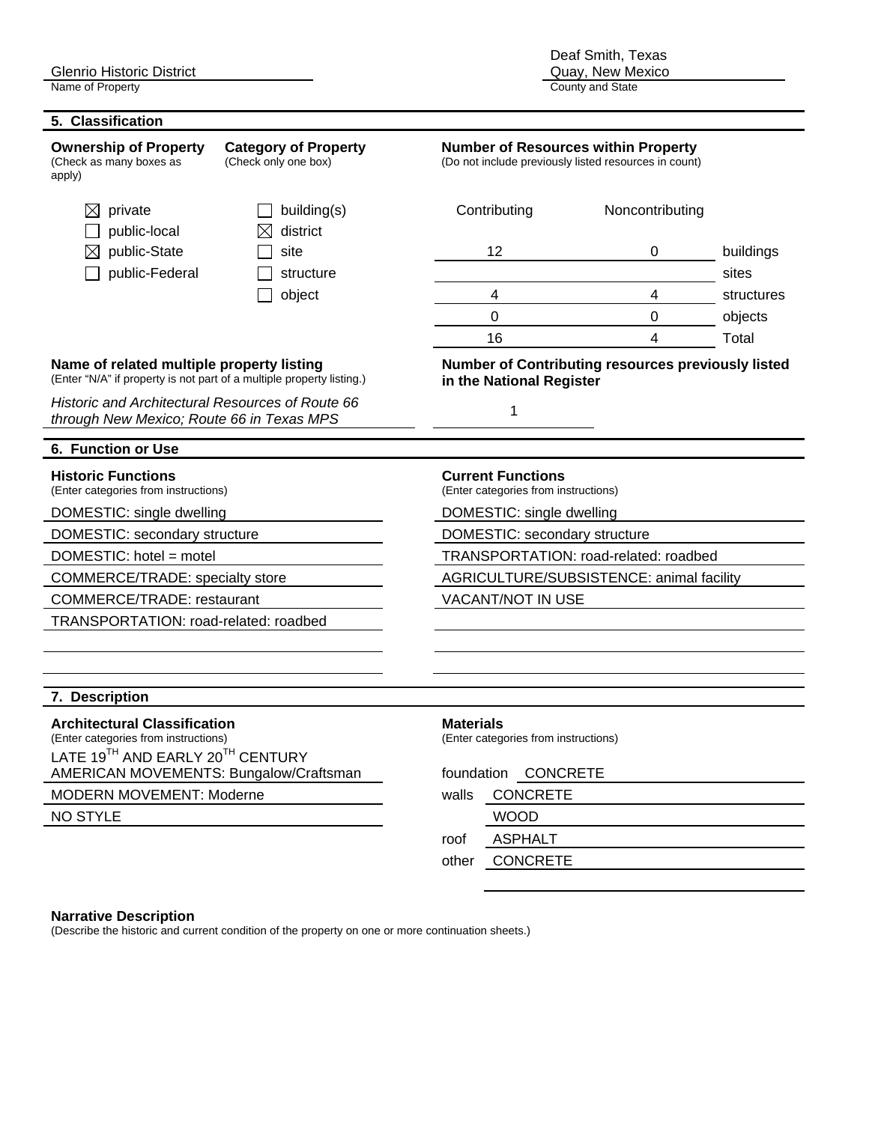## **5. Classification**

 Deaf Smith, Texas Quay, New Mexico

| <b>Ownership of Property</b><br>(Check as many boxes as<br>apply)                                                  | <b>Category of Property</b><br>(Check only one box) |                                                                  | <b>Number of Resources within Property</b><br>(Do not include previously listed resources in count) |  |  |
|--------------------------------------------------------------------------------------------------------------------|-----------------------------------------------------|------------------------------------------------------------------|-----------------------------------------------------------------------------------------------------|--|--|
| private<br>public-local                                                                                            | building(s)<br>district<br>$\boxtimes$              | Contributing                                                     | Noncontributing                                                                                     |  |  |
| public-State                                                                                                       | site                                                | 12                                                               | $\mathbf 0$<br>buildings                                                                            |  |  |
| public-Federal                                                                                                     | structure                                           |                                                                  | sites                                                                                               |  |  |
|                                                                                                                    | object                                              | 4                                                                | 4<br>structures                                                                                     |  |  |
|                                                                                                                    |                                                     | $\mathbf 0$                                                      | $\boldsymbol{0}$<br>objects                                                                         |  |  |
|                                                                                                                    |                                                     | 16                                                               | $\overline{4}$<br>Total                                                                             |  |  |
| Name of related multiple property listing<br>(Enter "N/A" if property is not part of a multiple property listing.) |                                                     | in the National Register                                         | <b>Number of Contributing resources previously listed</b>                                           |  |  |
| Historic and Architectural Resources of Route 66<br>through New Mexico; Route 66 in Texas MPS                      |                                                     | 1                                                                |                                                                                                     |  |  |
| 6. Function or Use                                                                                                 |                                                     |                                                                  |                                                                                                     |  |  |
| <b>Historic Functions</b><br>(Enter categories from instructions)                                                  |                                                     | <b>Current Functions</b><br>(Enter categories from instructions) |                                                                                                     |  |  |
| DOMESTIC: single dwelling                                                                                          |                                                     | DOMESTIC: single dwelling                                        |                                                                                                     |  |  |
| DOMESTIC: secondary structure                                                                                      |                                                     | DOMESTIC: secondary structure                                    |                                                                                                     |  |  |
| DOMESTIC: hotel = motel                                                                                            |                                                     | TRANSPORTATION: road-related: roadbed                            |                                                                                                     |  |  |
| COMMERCE/TRADE: specialty store                                                                                    |                                                     | AGRICULTURE/SUBSISTENCE: animal facility                         |                                                                                                     |  |  |
| <b>COMMERCE/TRADE: restaurant</b>                                                                                  |                                                     | VACANT/NOT IN USE                                                |                                                                                                     |  |  |
| TRANSPORTATION: road-related: roadbed                                                                              |                                                     |                                                                  |                                                                                                     |  |  |
|                                                                                                                    |                                                     |                                                                  |                                                                                                     |  |  |
|                                                                                                                    |                                                     |                                                                  |                                                                                                     |  |  |
| 7. Description                                                                                                     |                                                     |                                                                  |                                                                                                     |  |  |
| <b>Architectural Classification</b><br>(Enter categories from instructions)                                        |                                                     | <b>Materials</b><br>(Enter categories from instructions)         |                                                                                                     |  |  |
| LATE 19TH AND EARLY 20TH CENTURY<br>AMERICAN MOVEMENTS: Bungalow/Craftsman                                         |                                                     | foundation CONCRETE                                              |                                                                                                     |  |  |
| MODERN MOVEMENT: Moderne                                                                                           |                                                     | CONCRETE<br>walls                                                |                                                                                                     |  |  |
| <b>NO STYLE</b>                                                                                                    |                                                     | <b>WOOD</b>                                                      |                                                                                                     |  |  |
|                                                                                                                    |                                                     | <b>ASPHALT</b><br>roof                                           |                                                                                                     |  |  |
|                                                                                                                    |                                                     | <b>CONCRETE</b><br>other                                         |                                                                                                     |  |  |
|                                                                                                                    |                                                     |                                                                  |                                                                                                     |  |  |

#### **Narrative Description**

(Describe the historic and current condition of the property on one or more continuation sheets.)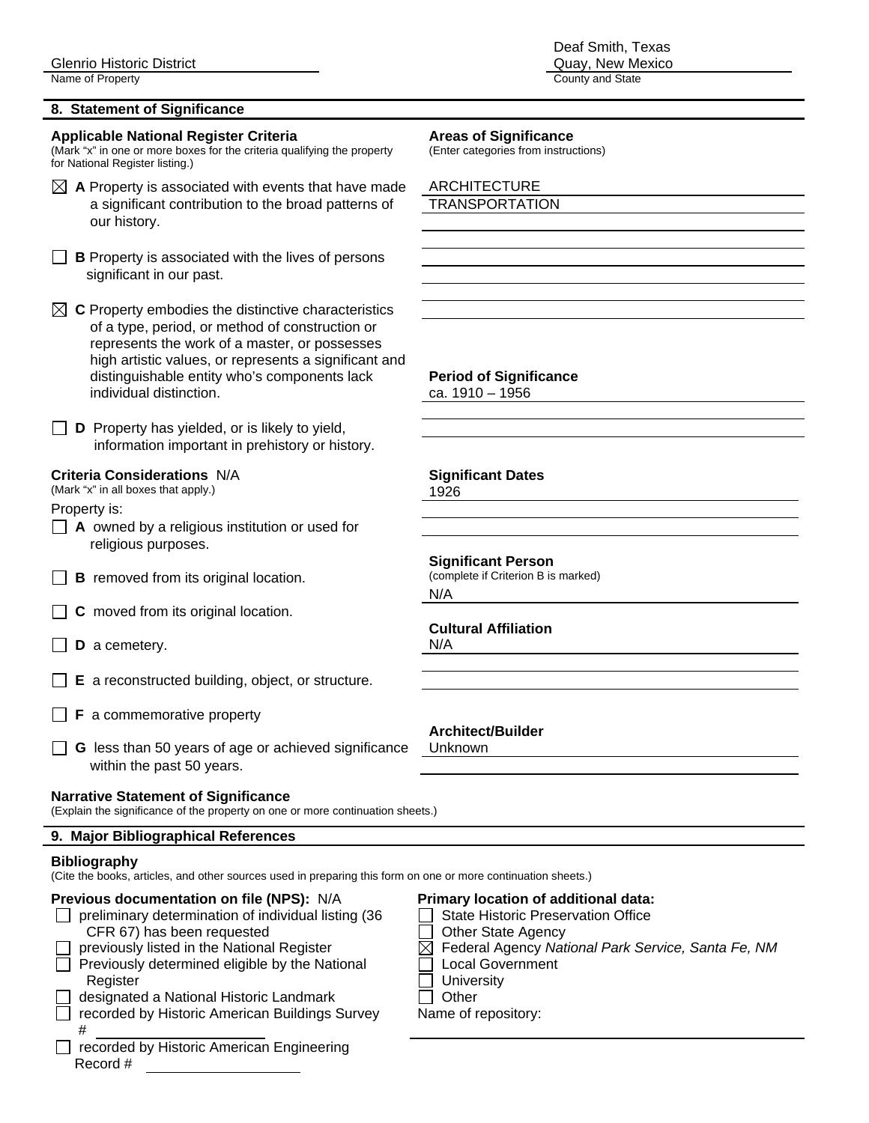#### **8. Statement of Significance**

**Applicable National Register Criteria**<br>(Mark "x" in one or more boxes for the criteria qualifying the property (Enter categories from instructions) (Mark "x" in one or more boxes for the criteria qualifying the property for National Register listing.)

- $\boxtimes$  A Property is associated with events that have made ARCHITECTURE a significant contribution to the broad patterns of TRANSPORTATION our history.
- **B** Property is associated with the lives of persons significant in our past.
- $\boxtimes$  **C** Property embodies the distinctive characteristics of a type, period, or method of construction or represents the work of a master, or possesses high artistic values, or represents a significant and distinguishable entity who's components lack **Period of Significance** individual distinction. ca. 1910 – 1956
- $\Box$  **D** Property has yielded, or is likely to yield, information important in prehistory or history.

#### **Criteria Considerations** N/A **Significant Dates**

(Mark "x" in all boxes that apply.) 1926

Property is:

- **A** owned by a religious institution or used for religious purposes.
- **B** removed from its original location. (complete if Criterion B is marked)
- **C** moved from its original location.
- □ **D** a cemetery. N/A
- **E** a reconstructed building, object, or structure.
- **F** a commemorative property
- **G** less than 50 years of age or achieved significance Unknown within the past 50 years.

#### **Narrative Statement of Significance**

(Explain the significance of the property on one or more continuation sheets.)

#### **9. Major Bibliographical References**

#### **Bibliography**

(Cite the books, articles, and other sources used in preparing this form on one or more continuation sheets.)

#### **Previous documentation on file (NPS):** N/A **Primary location of additional data:**

- $\Box$  preliminary determination of individual listing (36  $\Box$  State Historic Preservation Office CFR 67) has been requested **Other State Agency**
- $\Box$  Previously determined eligible by the National  $\Box$  Local Government Register **Network Register Network Network Network Network Network Network Network Network Network**
- $\Box$  designated a National Historic Landmark  $\Box$  Other
- Forecorded by Historic American Buildings Survey Name of repository: #
	- recorded by Historic American Engineering Record #

## Deaf Smith, Texas Quay, New Mexico

#### **Significant Person**

N/A

### **Cultural Affiliation**

#### **Architect/Builder**

- 
- 
- □ previously listed in the National Register <br> **Example Federal Agency** *National Park Service, Santa Fe, NM* 
	-
	-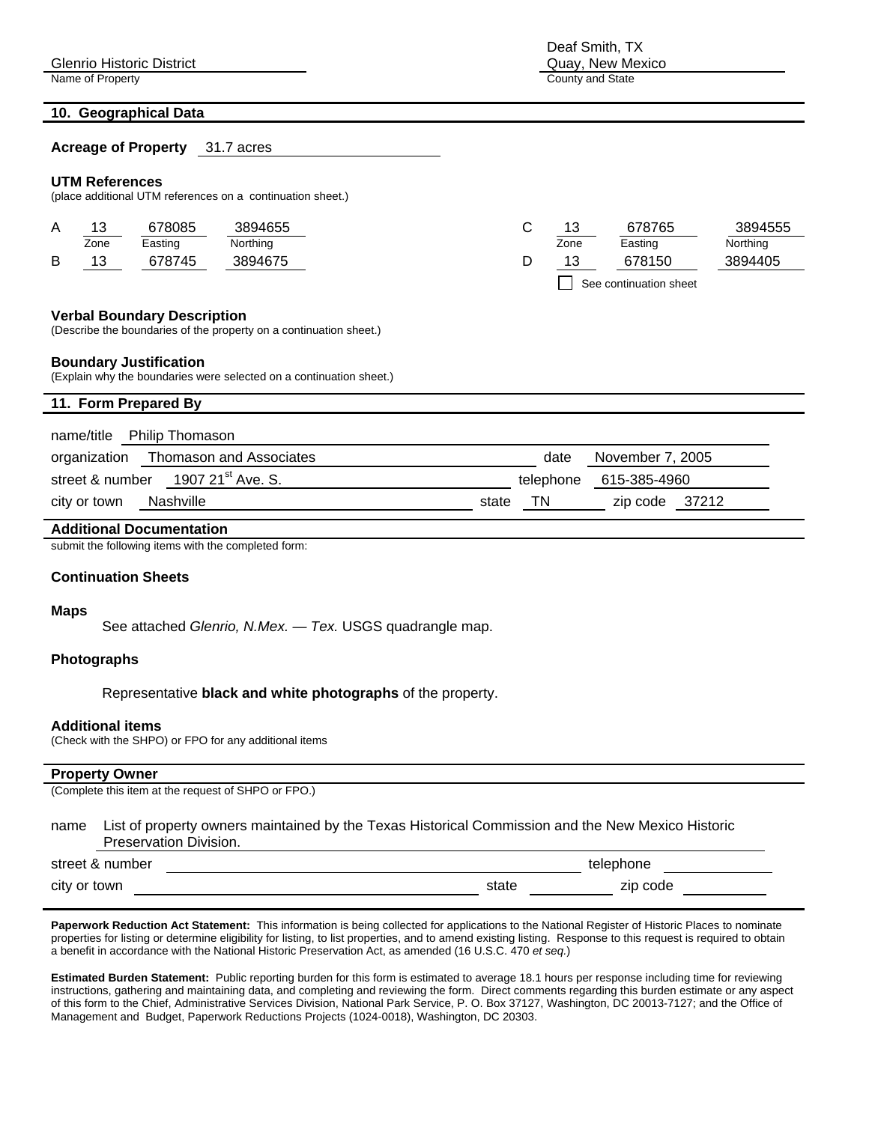**10. Geographical Data** 

**Acreage of Property** 31.7 acres

#### **UTM References**

(place additional UTM references on a continuation sheet.)

| ن ا  | 678085  | 3894655  | ںו   | 678765  | 3894555  |
|------|---------|----------|------|---------|----------|
| Zone | Easting | Northing | Zone | Easting | Northing |
| ◡    | 678745  | 3894675  | ںו   | 678150  | 3894405  |

#### **Verbal Boundary Description**

(Describe the boundaries of the property on a continuation sheet.)

#### **Boundary Justification**

(Explain why the boundaries were selected on a continuation sheet.)

#### **11. Form Prepared By**

| name/title Philip Thomason                    |                               |
|-----------------------------------------------|-------------------------------|
| organization Thomason and Associates          | November 7, 2005<br>date      |
| street & number 1907 21 <sup>st</sup> Ave. S. | telephone 615-385-4960        |
| Nashville<br>city or town                     | TN<br>zip code 37212<br>state |

#### **Additional Documentation**

submit the following items with the completed form:

#### **Continuation Sheets**

#### **Maps**

See attached *Glenrio, N.Mex. — Tex.* USGS quadrangle map.

#### **Photographs**

Representative **black and white photographs** of the property.

#### **Additional items**

(Check with the SHPO) or FPO for any additional items

#### **Property Owner**

(Complete this item at the request of SHPO or FPO.)

name List of property owners maintained by the Texas Historical Commission and the New Mexico Historic Preservation Division.

| street & number | telephone |          |  |  |
|-----------------|-----------|----------|--|--|
| city or town    | state     | zip code |  |  |

**Paperwork Reduction Act Statement:** This information is being collected for applications to the National Register of Historic Places to nominate properties for listing or determine eligibility for listing, to list properties, and to amend existing listing. Response to this request is required to obtain a benefit in accordance with the National Historic Preservation Act, as amended (16 U.S.C. 470 *et seq.*)

**Estimated Burden Statement:** Public reporting burden for this form is estimated to average 18.1 hours per response including time for reviewing instructions, gathering and maintaining data, and completing and reviewing the form. Direct comments regarding this burden estimate or any aspect of this form to the Chief, Administrative Services Division, National Park Service, P. O. Box 37127, Washington, DC 20013-7127; and the Office of Management and Budget, Paperwork Reductions Projects (1024-0018), Washington, DC 20303.

 Deaf Smith, TX Quay, New Mexico

 $\Box$  See continuation sheet

Name of Property **County and State**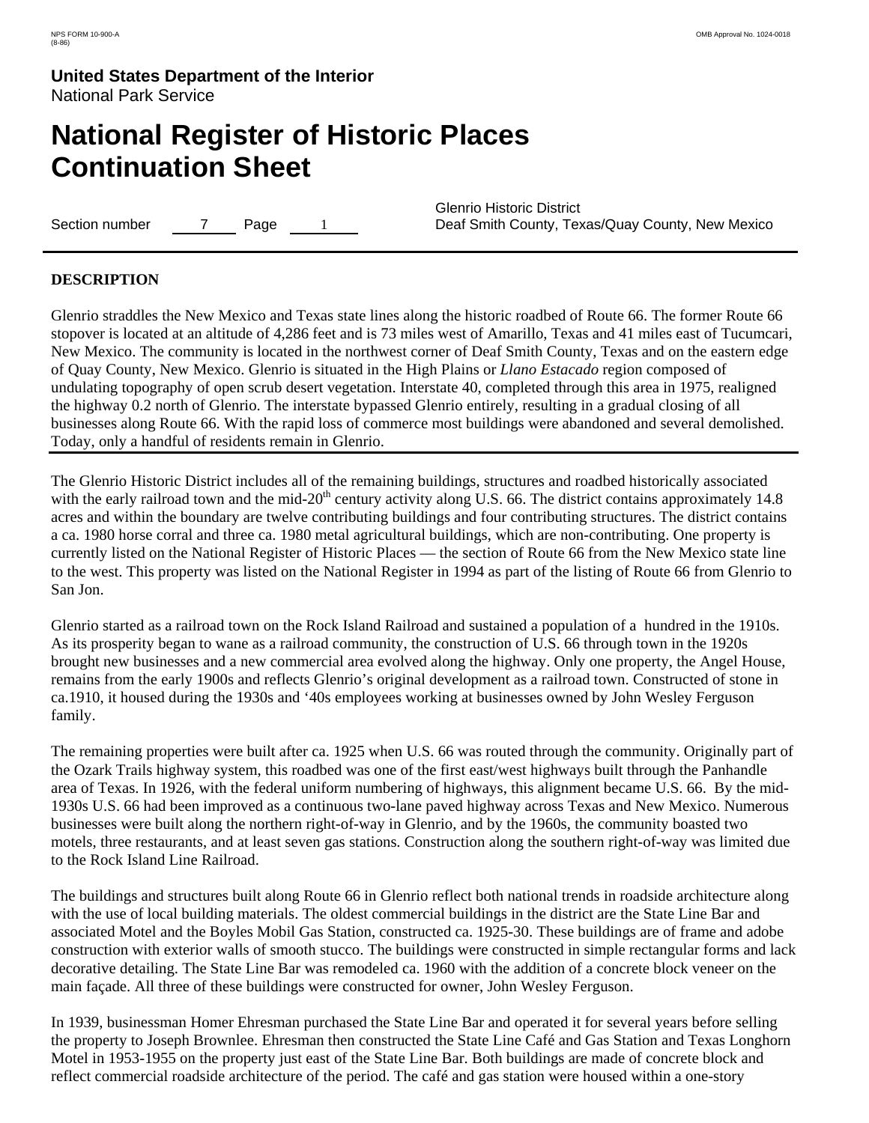# **National Register of Historic Places Continuation Sheet**

Section number 7 Page 1

Glenrio Historic District Deaf Smith County, Texas/Quay County, New Mexico

### **DESCRIPTION**

Glenrio straddles the New Mexico and Texas state lines along the historic roadbed of Route 66. The former Route 66 stopover is located at an altitude of 4,286 feet and is 73 miles west of Amarillo, Texas and 41 miles east of Tucumcari, New Mexico. The community is located in the northwest corner of Deaf Smith County, Texas and on the eastern edge of Quay County, New Mexico. Glenrio is situated in the High Plains or *Llano Estacado* region composed of undulating topography of open scrub desert vegetation. Interstate 40, completed through this area in 1975, realigned the highway 0.2 north of Glenrio. The interstate bypassed Glenrio entirely, resulting in a gradual closing of all businesses along Route 66. With the rapid loss of commerce most buildings were abandoned and several demolished. Today, only a handful of residents remain in Glenrio.

The Glenrio Historic District includes all of the remaining buildings, structures and roadbed historically associated with the early railroad town and the mid-20<sup>th</sup> century activity along U.S. 66. The district contains approximately 14.8 acres and within the boundary are twelve contributing buildings and four contributing structures. The district contains a ca. 1980 horse corral and three ca. 1980 metal agricultural buildings, which are non-contributing. One property is currently listed on the National Register of Historic Places — the section of Route 66 from the New Mexico state line to the west. This property was listed on the National Register in 1994 as part of the listing of Route 66 from Glenrio to San Jon.

Glenrio started as a railroad town on the Rock Island Railroad and sustained a population of a hundred in the 1910s. As its prosperity began to wane as a railroad community, the construction of U.S. 66 through town in the 1920s brought new businesses and a new commercial area evolved along the highway. Only one property, the Angel House, remains from the early 1900s and reflects Glenrio's original development as a railroad town. Constructed of stone in ca.1910, it housed during the 1930s and '40s employees working at businesses owned by John Wesley Ferguson family.

The remaining properties were built after ca. 1925 when U.S. 66 was routed through the community. Originally part of the Ozark Trails highway system, this roadbed was one of the first east/west highways built through the Panhandle area of Texas. In 1926, with the federal uniform numbering of highways, this alignment became U.S. 66. By the mid-1930s U.S. 66 had been improved as a continuous two-lane paved highway across Texas and New Mexico. Numerous businesses were built along the northern right-of-way in Glenrio, and by the 1960s, the community boasted two motels, three restaurants, and at least seven gas stations. Construction along the southern right-of-way was limited due to the Rock Island Line Railroad.

The buildings and structures built along Route 66 in Glenrio reflect both national trends in roadside architecture along with the use of local building materials. The oldest commercial buildings in the district are the State Line Bar and associated Motel and the Boyles Mobil Gas Station, constructed ca. 1925-30. These buildings are of frame and adobe construction with exterior walls of smooth stucco. The buildings were constructed in simple rectangular forms and lack decorative detailing. The State Line Bar was remodeled ca. 1960 with the addition of a concrete block veneer on the main façade. All three of these buildings were constructed for owner, John Wesley Ferguson.

In 1939, businessman Homer Ehresman purchased the State Line Bar and operated it for several years before selling the property to Joseph Brownlee. Ehresman then constructed the State Line Café and Gas Station and Texas Longhorn Motel in 1953-1955 on the property just east of the State Line Bar. Both buildings are made of concrete block and reflect commercial roadside architecture of the period. The café and gas station were housed within a one-story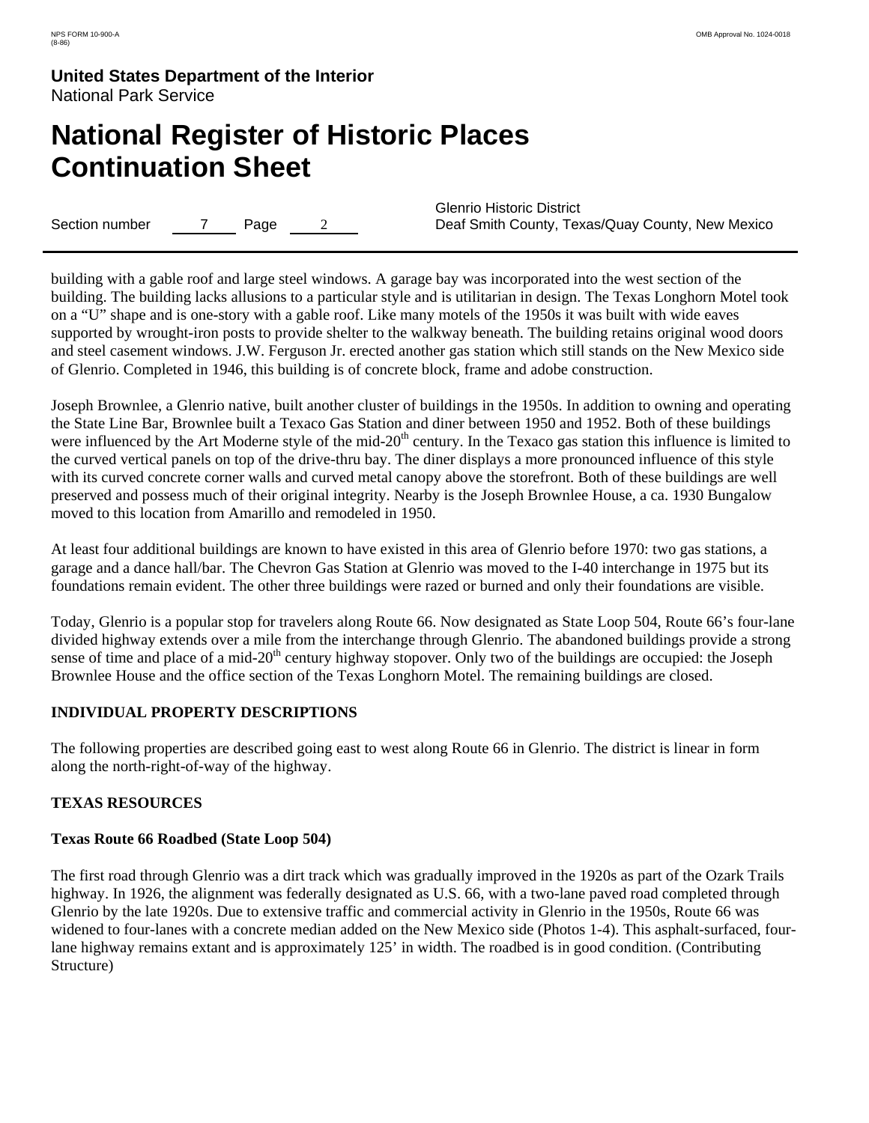# **National Register of Historic Places Continuation Sheet**

|                |      | <b>Glenrio Historic District</b>                 |
|----------------|------|--------------------------------------------------|
| Section number | Page | Deaf Smith County, Texas/Quay County, New Mexico |

building with a gable roof and large steel windows. A garage bay was incorporated into the west section of the building. The building lacks allusions to a particular style and is utilitarian in design. The Texas Longhorn Motel took on a "U" shape and is one-story with a gable roof. Like many motels of the 1950s it was built with wide eaves supported by wrought-iron posts to provide shelter to the walkway beneath. The building retains original wood doors and steel casement windows. J.W. Ferguson Jr. erected another gas station which still stands on the New Mexico side of Glenrio. Completed in 1946, this building is of concrete block, frame and adobe construction.

Joseph Brownlee, a Glenrio native, built another cluster of buildings in the 1950s. In addition to owning and operating the State Line Bar, Brownlee built a Texaco Gas Station and diner between 1950 and 1952. Both of these buildings were influenced by the Art Moderne style of the mid-20<sup>th</sup> century. In the Texaco gas station this influence is limited to the curved vertical panels on top of the drive-thru bay. The diner displays a more pronounced influence of this style with its curved concrete corner walls and curved metal canopy above the storefront. Both of these buildings are well preserved and possess much of their original integrity. Nearby is the Joseph Brownlee House, a ca. 1930 Bungalow moved to this location from Amarillo and remodeled in 1950.

At least four additional buildings are known to have existed in this area of Glenrio before 1970: two gas stations, a garage and a dance hall/bar. The Chevron Gas Station at Glenrio was moved to the I-40 interchange in 1975 but its foundations remain evident. The other three buildings were razed or burned and only their foundations are visible.

Today, Glenrio is a popular stop for travelers along Route 66. Now designated as State Loop 504, Route 66's four-lane divided highway extends over a mile from the interchange through Glenrio. The abandoned buildings provide a strong sense of time and place of a mid- $20<sup>th</sup>$  century highway stopover. Only two of the buildings are occupied: the Joseph Brownlee House and the office section of the Texas Longhorn Motel. The remaining buildings are closed.

### **INDIVIDUAL PROPERTY DESCRIPTIONS**

The following properties are described going east to west along Route 66 in Glenrio. The district is linear in form along the north-right-of-way of the highway.

### **TEXAS RESOURCES**

### **Texas Route 66 Roadbed (State Loop 504)**

The first road through Glenrio was a dirt track which was gradually improved in the 1920s as part of the Ozark Trails highway. In 1926, the alignment was federally designated as U.S. 66, with a two-lane paved road completed through Glenrio by the late 1920s. Due to extensive traffic and commercial activity in Glenrio in the 1950s, Route 66 was widened to four-lanes with a concrete median added on the New Mexico side (Photos 1-4). This asphalt-surfaced, fourlane highway remains extant and is approximately 125' in width. The roadbed is in good condition. (Contributing Structure)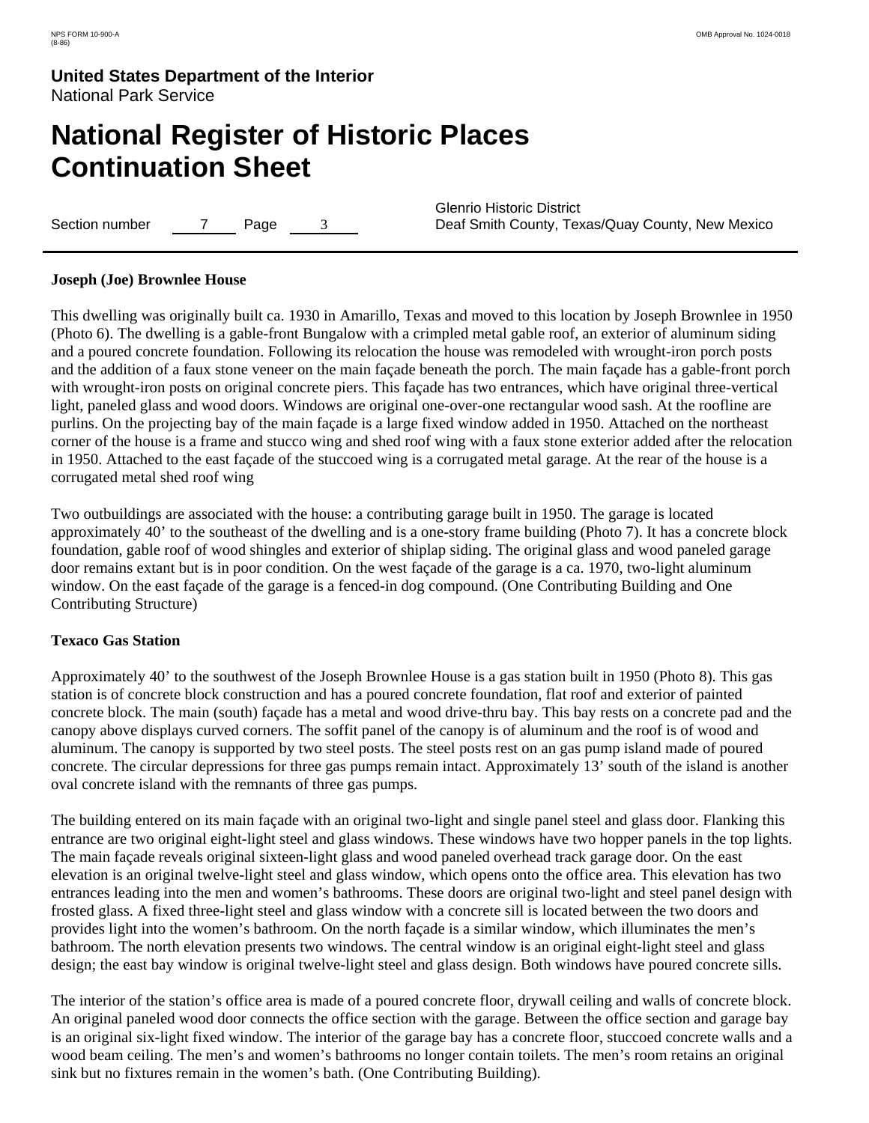# **National Register of Historic Places Continuation Sheet**

Section number 7 Page 3

Glenrio Historic District Deaf Smith County, Texas/Quay County, New Mexico

#### **Joseph (Joe) Brownlee House**

This dwelling was originally built ca. 1930 in Amarillo, Texas and moved to this location by Joseph Brownlee in 1950 (Photo 6). The dwelling is a gable-front Bungalow with a crimpled metal gable roof, an exterior of aluminum siding and a poured concrete foundation. Following its relocation the house was remodeled with wrought-iron porch posts and the addition of a faux stone veneer on the main façade beneath the porch. The main façade has a gable-front porch with wrought-iron posts on original concrete piers. This façade has two entrances, which have original three-vertical light, paneled glass and wood doors. Windows are original one-over-one rectangular wood sash. At the roofline are purlins. On the projecting bay of the main façade is a large fixed window added in 1950. Attached on the northeast corner of the house is a frame and stucco wing and shed roof wing with a faux stone exterior added after the relocation in 1950. Attached to the east façade of the stuccoed wing is a corrugated metal garage. At the rear of the house is a corrugated metal shed roof wing

Two outbuildings are associated with the house: a contributing garage built in 1950. The garage is located approximately 40' to the southeast of the dwelling and is a one-story frame building (Photo 7). It has a concrete block foundation, gable roof of wood shingles and exterior of shiplap siding. The original glass and wood paneled garage door remains extant but is in poor condition. On the west façade of the garage is a ca. 1970, two-light aluminum window. On the east façade of the garage is a fenced-in dog compound. (One Contributing Building and One Contributing Structure)

### **Texaco Gas Station**

Approximately 40' to the southwest of the Joseph Brownlee House is a gas station built in 1950 (Photo 8). This gas station is of concrete block construction and has a poured concrete foundation, flat roof and exterior of painted concrete block. The main (south) façade has a metal and wood drive-thru bay. This bay rests on a concrete pad and the canopy above displays curved corners. The soffit panel of the canopy is of aluminum and the roof is of wood and aluminum. The canopy is supported by two steel posts. The steel posts rest on an gas pump island made of poured concrete. The circular depressions for three gas pumps remain intact. Approximately 13' south of the island is another oval concrete island with the remnants of three gas pumps.

The building entered on its main façade with an original two-light and single panel steel and glass door. Flanking this entrance are two original eight-light steel and glass windows. These windows have two hopper panels in the top lights. The main façade reveals original sixteen-light glass and wood paneled overhead track garage door. On the east elevation is an original twelve-light steel and glass window, which opens onto the office area. This elevation has two entrances leading into the men and women's bathrooms. These doors are original two-light and steel panel design with frosted glass. A fixed three-light steel and glass window with a concrete sill is located between the two doors and provides light into the women's bathroom. On the north façade is a similar window, which illuminates the men's bathroom. The north elevation presents two windows. The central window is an original eight-light steel and glass design; the east bay window is original twelve-light steel and glass design. Both windows have poured concrete sills.

The interior of the station's office area is made of a poured concrete floor, drywall ceiling and walls of concrete block. An original paneled wood door connects the office section with the garage. Between the office section and garage bay is an original six-light fixed window. The interior of the garage bay has a concrete floor, stuccoed concrete walls and a wood beam ceiling. The men's and women's bathrooms no longer contain toilets. The men's room retains an original sink but no fixtures remain in the women's bath. (One Contributing Building).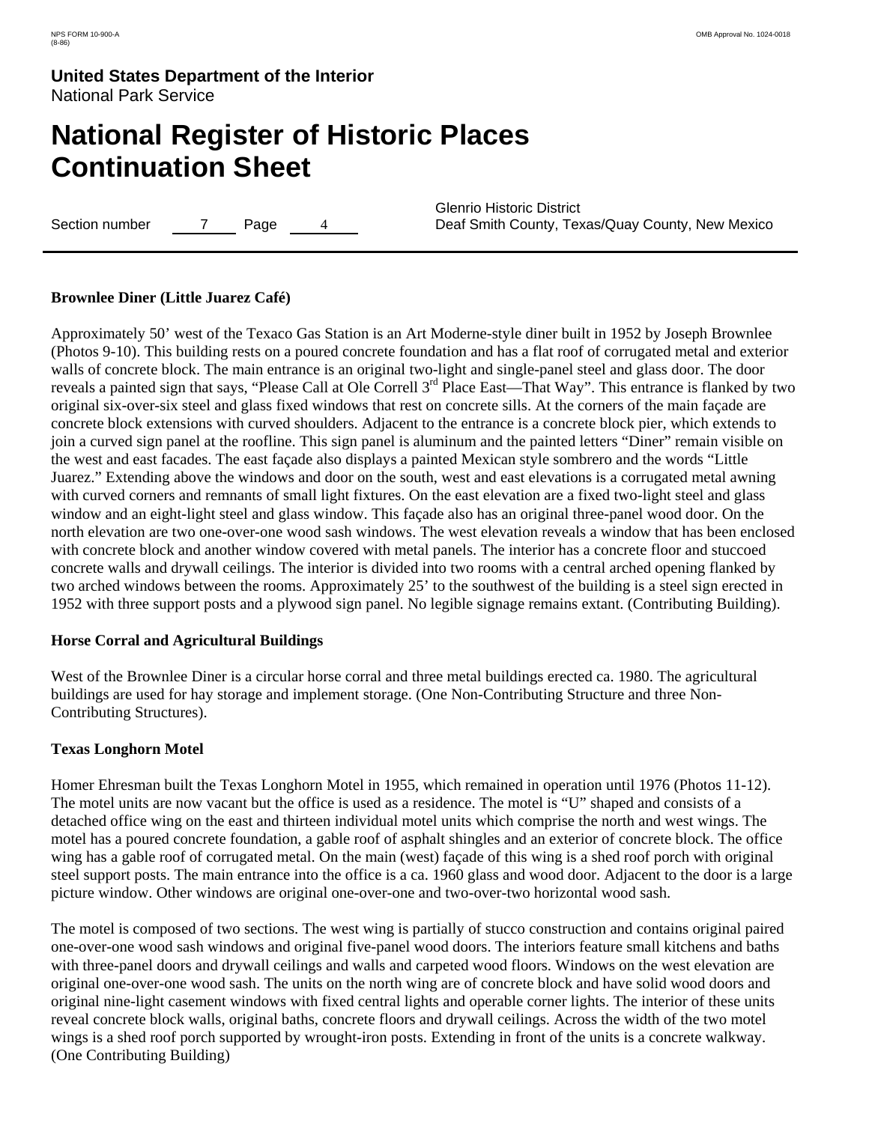# **National Register of Historic Places Continuation Sheet**

Section number 7 Page 4

Glenrio Historic District Deaf Smith County, Texas/Quay County, New Mexico

## **Brownlee Diner (Little Juarez Café)**

Approximately 50' west of the Texaco Gas Station is an Art Moderne-style diner built in 1952 by Joseph Brownlee (Photos 9-10). This building rests on a poured concrete foundation and has a flat roof of corrugated metal and exterior walls of concrete block. The main entrance is an original two-light and single-panel steel and glass door. The door reveals a painted sign that says, "Please Call at Ole Correll 3<sup>rd</sup> Place East—That Way". This entrance is flanked by two original six-over-six steel and glass fixed windows that rest on concrete sills. At the corners of the main façade are concrete block extensions with curved shoulders. Adjacent to the entrance is a concrete block pier, which extends to join a curved sign panel at the roofline. This sign panel is aluminum and the painted letters "Diner" remain visible on the west and east facades. The east façade also displays a painted Mexican style sombrero and the words "Little Juarez." Extending above the windows and door on the south, west and east elevations is a corrugated metal awning with curved corners and remnants of small light fixtures. On the east elevation are a fixed two-light steel and glass window and an eight-light steel and glass window. This façade also has an original three-panel wood door. On the north elevation are two one-over-one wood sash windows. The west elevation reveals a window that has been enclosed with concrete block and another window covered with metal panels. The interior has a concrete floor and stuccoed concrete walls and drywall ceilings. The interior is divided into two rooms with a central arched opening flanked by two arched windows between the rooms. Approximately 25' to the southwest of the building is a steel sign erected in 1952 with three support posts and a plywood sign panel. No legible signage remains extant. (Contributing Building).

## **Horse Corral and Agricultural Buildings**

West of the Brownlee Diner is a circular horse corral and three metal buildings erected ca. 1980. The agricultural buildings are used for hay storage and implement storage. (One Non-Contributing Structure and three Non-Contributing Structures).

## **Texas Longhorn Motel**

Homer Ehresman built the Texas Longhorn Motel in 1955, which remained in operation until 1976 (Photos 11-12). The motel units are now vacant but the office is used as a residence. The motel is "U" shaped and consists of a detached office wing on the east and thirteen individual motel units which comprise the north and west wings. The motel has a poured concrete foundation, a gable roof of asphalt shingles and an exterior of concrete block. The office wing has a gable roof of corrugated metal. On the main (west) façade of this wing is a shed roof porch with original steel support posts. The main entrance into the office is a ca. 1960 glass and wood door. Adjacent to the door is a large picture window. Other windows are original one-over-one and two-over-two horizontal wood sash.

The motel is composed of two sections. The west wing is partially of stucco construction and contains original paired one-over-one wood sash windows and original five-panel wood doors. The interiors feature small kitchens and baths with three-panel doors and drywall ceilings and walls and carpeted wood floors. Windows on the west elevation are original one-over-one wood sash. The units on the north wing are of concrete block and have solid wood doors and original nine-light casement windows with fixed central lights and operable corner lights. The interior of these units reveal concrete block walls, original baths, concrete floors and drywall ceilings. Across the width of the two motel wings is a shed roof porch supported by wrought-iron posts. Extending in front of the units is a concrete walkway. (One Contributing Building)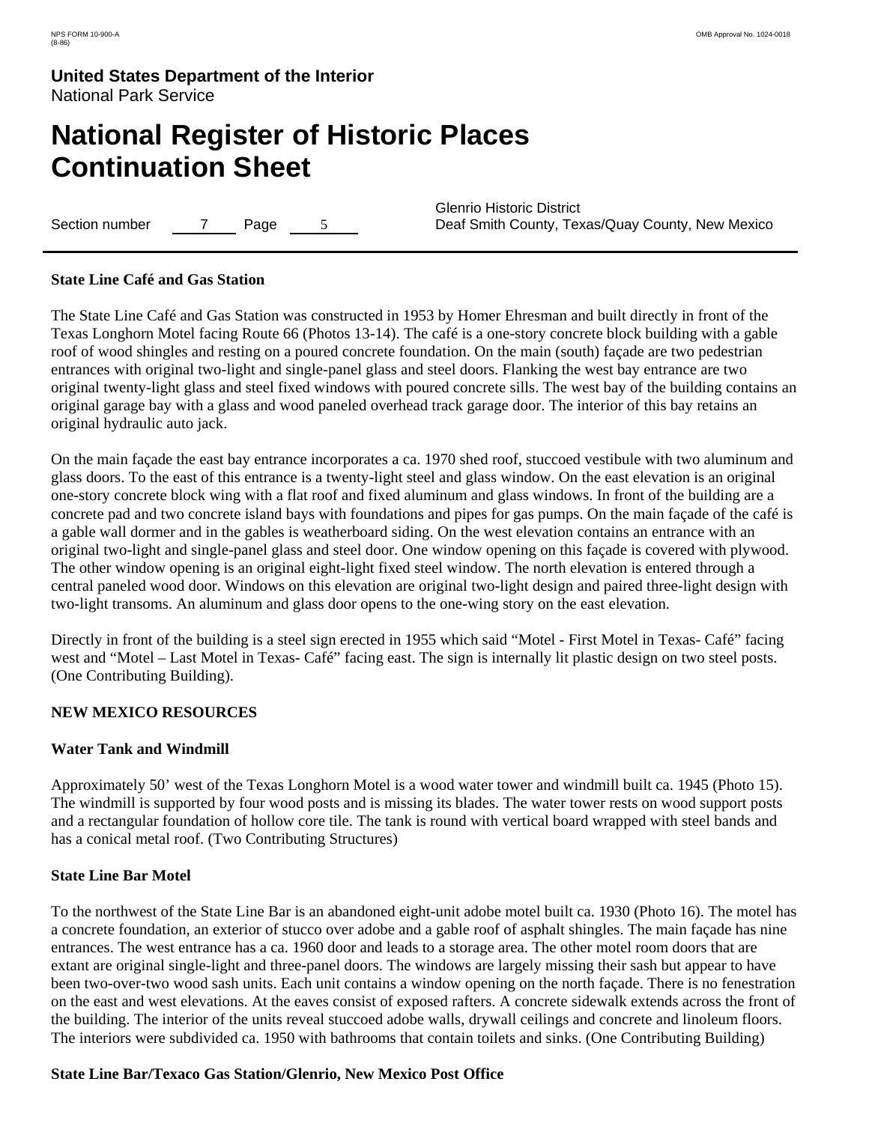# **National Register of Historic Places Continuation Sheet**

Section number 7 Page 5

Glenrio Historic District Deaf Smith County, Texas/Quay County, New Mexico

#### **State Line Café and Gas Station**

The State Line Café and Gas Station was constructed in 1953 by Homer Ehresman and built directly in front of the Texas Longhorn Motel facing Route 66 (Photos 13-14). The café is a one-story concrete block building with a gable roof of wood shingles and resting on a poured concrete foundation. On the main (south) façade are two pedestrian entrances with original two-light and single-panel glass and steel doors. Flanking the west bay entrance are two original twenty-light glass and steel fixed windows with poured concrete sills. The west bay of the building contains an original garage bay with a glass and wood paneled overhead track garage door. The interior of this bay retains an original hydraulic auto jack.

On the main façade the east bay entrance incorporates a ca. 1970 shed roof, stuccoed vestibule with two aluminum and glass doors. To the east of this entrance is a twenty-light steel and glass window. On the east elevation is an original one-story concrete block wing with a flat roof and fixed aluminum and glass windows. In front of the building are a concrete pad and two concrete island bays with foundations and pipes for gas pumps. On the main façade of the café is a gable wall dormer and in the gables is weatherboard siding. On the west elevation contains an entrance with an original two-light and single-panel glass and steel door. One window opening on this façade is covered with plywood. The other window opening is an original eight-light fixed steel window. The north elevation is entered through a central paneled wood door. Windows on this elevation are original two-light design and paired three-light design with two-light transoms. An aluminum and glass door opens to the one-wing story on the east elevation.

Directly in front of the building is a steel sign erected in 1955 which said "Motel - First Motel in Texas- Café" facing west and "Motel – Last Motel in Texas- Café" facing east. The sign is internally lit plastic design on two steel posts. (One Contributing Building).

### **NEW MEXICO RESOURCES**

#### **Water Tank and Windmill**

Approximately 50' west of the Texas Longhorn Motel is a wood water tower and windmill built ca. 1945 (Photo 15). The windmill is supported by four wood posts and is missing its blades. The water tower rests on wood support posts and a rectangular foundation of hollow core tile. The tank is round with vertical board wrapped with steel bands and has a conical metal roof. (Two Contributing Structures)

#### **State Line Bar Motel**

To the northwest of the State Line Bar is an abandoned eight-unit adobe motel built ca. 1930 (Photo 16). The motel has a concrete foundation, an exterior of stucco over adobe and a gable roof of asphalt shingles. The main façade has nine entrances. The west entrance has a ca. 1960 door and leads to a storage area. The other motel room doors that are extant are original single-light and three-panel doors. The windows are largely missing their sash but appear to have been two-over-two wood sash units. Each unit contains a window opening on the north façade. There is no fenestration on the east and west elevations. At the eaves consist of exposed rafters. A concrete sidewalk extends across the front of the building. The interior of the units reveal stuccoed adobe walls, drywall ceilings and concrete and linoleum floors. The interiors were subdivided ca. 1950 with bathrooms that contain toilets and sinks. (One Contributing Building)

#### **State Line Bar/Texaco Gas Station/Glenrio, New Mexico Post Office**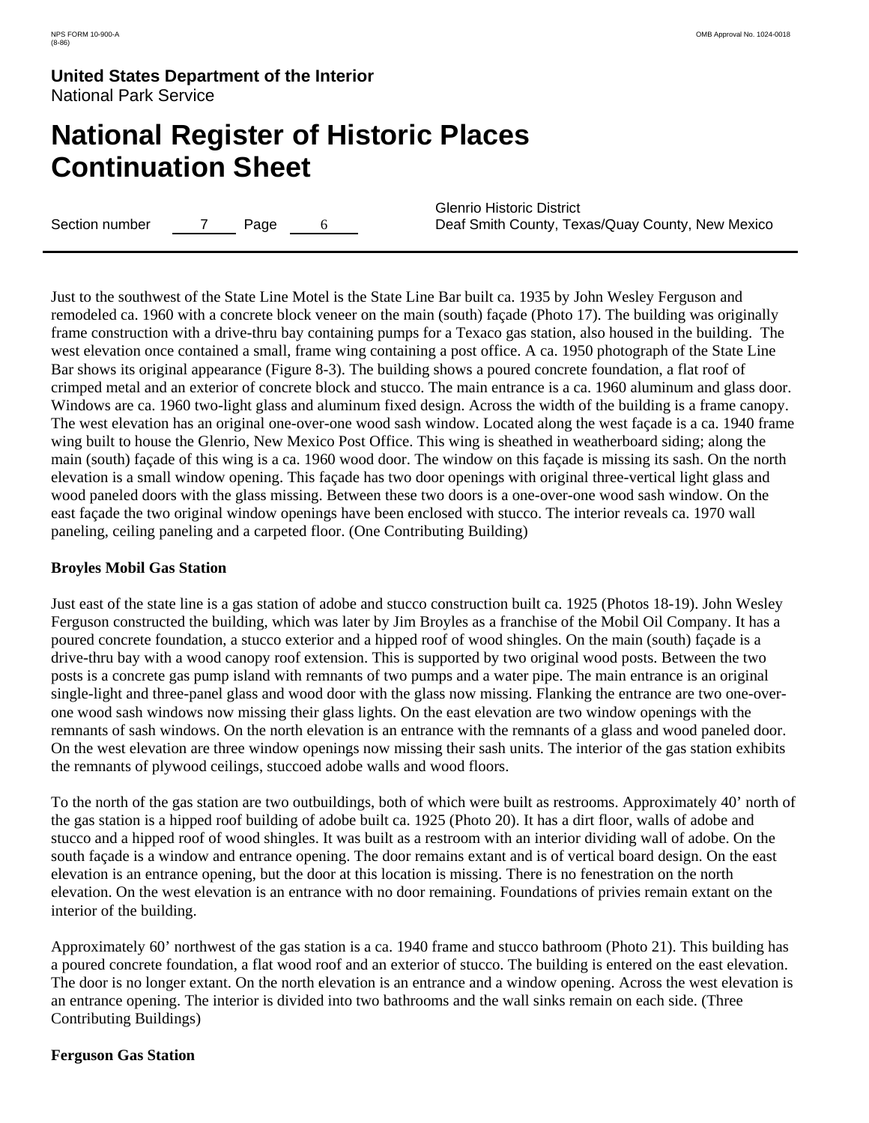# **National Register of Historic Places Continuation Sheet**

Section number 7 Page 6

Glenrio Historic District Deaf Smith County, Texas/Quay County, New Mexico

Just to the southwest of the State Line Motel is the State Line Bar built ca. 1935 by John Wesley Ferguson and remodeled ca. 1960 with a concrete block veneer on the main (south) façade (Photo 17). The building was originally frame construction with a drive-thru bay containing pumps for a Texaco gas station, also housed in the building. The west elevation once contained a small, frame wing containing a post office. A ca. 1950 photograph of the State Line Bar shows its original appearance (Figure 8-3). The building shows a poured concrete foundation, a flat roof of crimped metal and an exterior of concrete block and stucco. The main entrance is a ca. 1960 aluminum and glass door. Windows are ca. 1960 two-light glass and aluminum fixed design. Across the width of the building is a frame canopy. The west elevation has an original one-over-one wood sash window. Located along the west façade is a ca. 1940 frame wing built to house the Glenrio, New Mexico Post Office. This wing is sheathed in weatherboard siding; along the main (south) façade of this wing is a ca. 1960 wood door. The window on this façade is missing its sash. On the north elevation is a small window opening. This façade has two door openings with original three-vertical light glass and wood paneled doors with the glass missing. Between these two doors is a one-over-one wood sash window. On the east façade the two original window openings have been enclosed with stucco. The interior reveals ca. 1970 wall paneling, ceiling paneling and a carpeted floor. (One Contributing Building)

#### **Broyles Mobil Gas Station**

Just east of the state line is a gas station of adobe and stucco construction built ca. 1925 (Photos 18-19). John Wesley Ferguson constructed the building, which was later by Jim Broyles as a franchise of the Mobil Oil Company. It has a poured concrete foundation, a stucco exterior and a hipped roof of wood shingles. On the main (south) façade is a drive-thru bay with a wood canopy roof extension. This is supported by two original wood posts. Between the two posts is a concrete gas pump island with remnants of two pumps and a water pipe. The main entrance is an original single-light and three-panel glass and wood door with the glass now missing. Flanking the entrance are two one-overone wood sash windows now missing their glass lights. On the east elevation are two window openings with the remnants of sash windows. On the north elevation is an entrance with the remnants of a glass and wood paneled door. On the west elevation are three window openings now missing their sash units. The interior of the gas station exhibits the remnants of plywood ceilings, stuccoed adobe walls and wood floors.

To the north of the gas station are two outbuildings, both of which were built as restrooms. Approximately 40' north of the gas station is a hipped roof building of adobe built ca. 1925 (Photo 20). It has a dirt floor, walls of adobe and stucco and a hipped roof of wood shingles. It was built as a restroom with an interior dividing wall of adobe. On the south façade is a window and entrance opening. The door remains extant and is of vertical board design. On the east elevation is an entrance opening, but the door at this location is missing. There is no fenestration on the north elevation. On the west elevation is an entrance with no door remaining. Foundations of privies remain extant on the interior of the building.

Approximately 60' northwest of the gas station is a ca. 1940 frame and stucco bathroom (Photo 21). This building has a poured concrete foundation, a flat wood roof and an exterior of stucco. The building is entered on the east elevation. The door is no longer extant. On the north elevation is an entrance and a window opening. Across the west elevation is an entrance opening. The interior is divided into two bathrooms and the wall sinks remain on each side. (Three Contributing Buildings)

### **Ferguson Gas Station**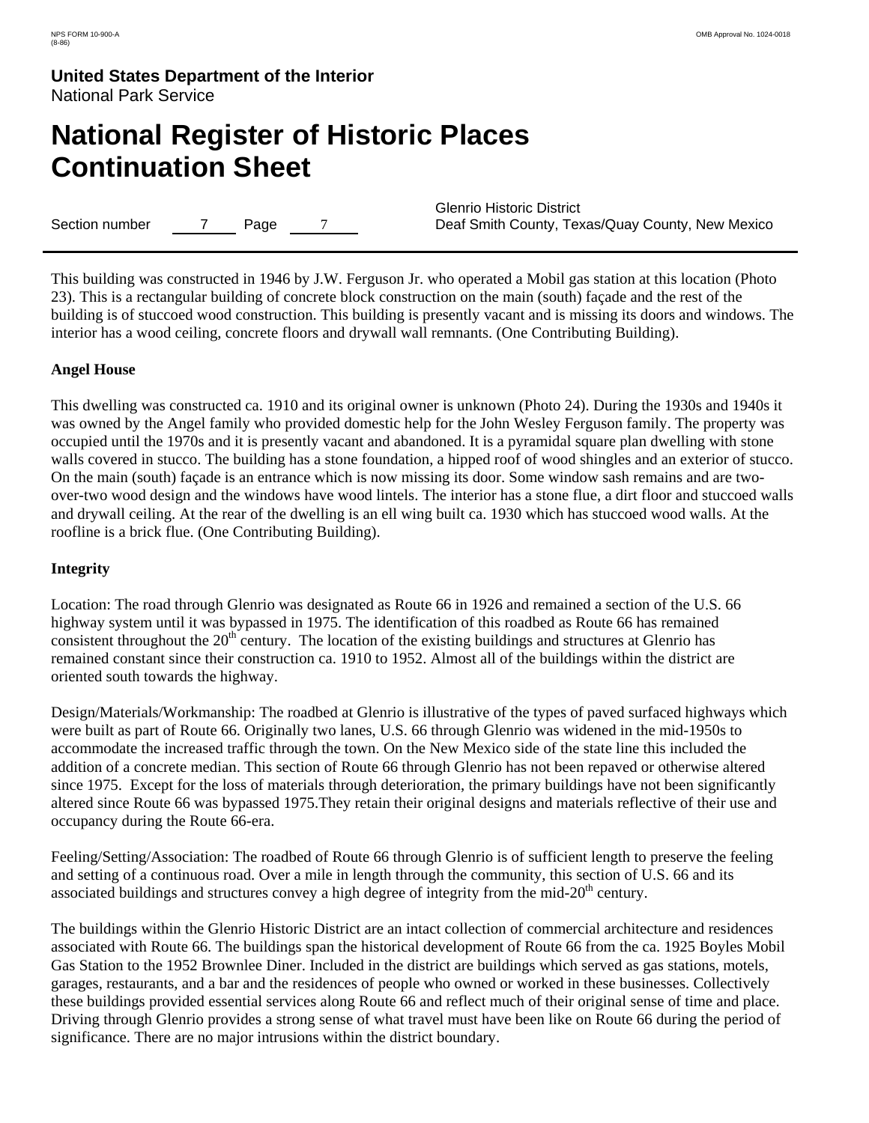# **National Register of Historic Places Continuation Sheet**

| Section number |  | Page |  |  |
|----------------|--|------|--|--|
|----------------|--|------|--|--|

Glenrio Historic District Deaf Smith County, Texas/Quay County, New Mexico

This building was constructed in 1946 by J.W. Ferguson Jr. who operated a Mobil gas station at this location (Photo 23). This is a rectangular building of concrete block construction on the main (south) façade and the rest of the building is of stuccoed wood construction. This building is presently vacant and is missing its doors and windows. The interior has a wood ceiling, concrete floors and drywall wall remnants. (One Contributing Building).

#### **Angel House**

This dwelling was constructed ca. 1910 and its original owner is unknown (Photo 24). During the 1930s and 1940s it was owned by the Angel family who provided domestic help for the John Wesley Ferguson family. The property was occupied until the 1970s and it is presently vacant and abandoned. It is a pyramidal square plan dwelling with stone walls covered in stucco. The building has a stone foundation, a hipped roof of wood shingles and an exterior of stucco. On the main (south) façade is an entrance which is now missing its door. Some window sash remains and are twoover-two wood design and the windows have wood lintels. The interior has a stone flue, a dirt floor and stuccoed walls and drywall ceiling. At the rear of the dwelling is an ell wing built ca. 1930 which has stuccoed wood walls. At the roofline is a brick flue. (One Contributing Building).

#### **Integrity**

Location: The road through Glenrio was designated as Route 66 in 1926 and remained a section of the U.S. 66 highway system until it was bypassed in 1975. The identification of this roadbed as Route 66 has remained consistent throughout the  $20<sup>th</sup>$  century. The location of the existing buildings and structures at Glenrio has remained constant since their construction ca. 1910 to 1952. Almost all of the buildings within the district are oriented south towards the highway.

Design/Materials/Workmanship: The roadbed at Glenrio is illustrative of the types of paved surfaced highways which were built as part of Route 66. Originally two lanes, U.S. 66 through Glenrio was widened in the mid-1950s to accommodate the increased traffic through the town. On the New Mexico side of the state line this included the addition of a concrete median. This section of Route 66 through Glenrio has not been repaved or otherwise altered since 1975. Except for the loss of materials through deterioration, the primary buildings have not been significantly altered since Route 66 was bypassed 1975.They retain their original designs and materials reflective of their use and occupancy during the Route 66-era.

Feeling/Setting/Association: The roadbed of Route 66 through Glenrio is of sufficient length to preserve the feeling and setting of a continuous road. Over a mile in length through the community, this section of U.S. 66 and its associated buildings and structures convey a high degree of integrity from the mid- $20<sup>th</sup>$  century.

The buildings within the Glenrio Historic District are an intact collection of commercial architecture and residences associated with Route 66. The buildings span the historical development of Route 66 from the ca. 1925 Boyles Mobil Gas Station to the 1952 Brownlee Diner. Included in the district are buildings which served as gas stations, motels, garages, restaurants, and a bar and the residences of people who owned or worked in these businesses. Collectively these buildings provided essential services along Route 66 and reflect much of their original sense of time and place. Driving through Glenrio provides a strong sense of what travel must have been like on Route 66 during the period of significance. There are no major intrusions within the district boundary.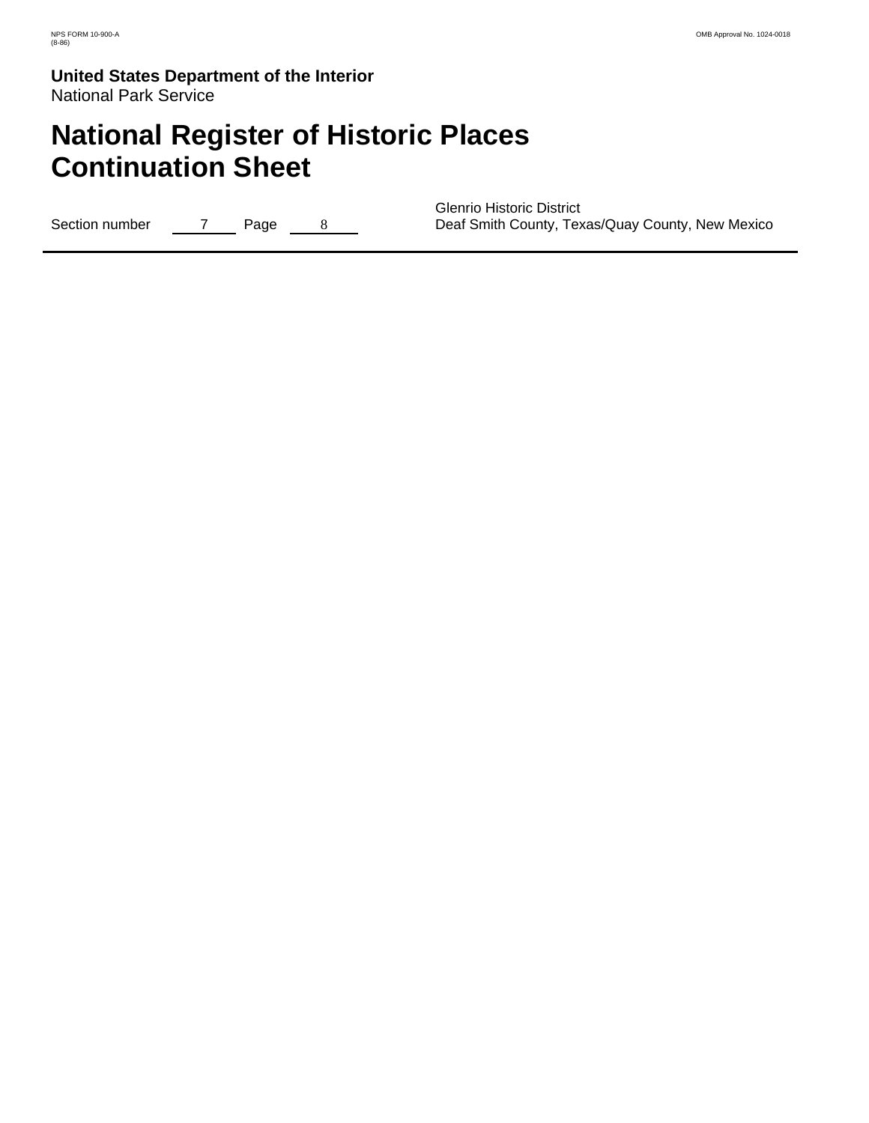# **National Register of Historic Places Continuation Sheet**

Section number  $\overline{7}$  Page  $\overline{8}$ 

Glenrio Historic District Deaf Smith County, Texas/Quay County, New Mexico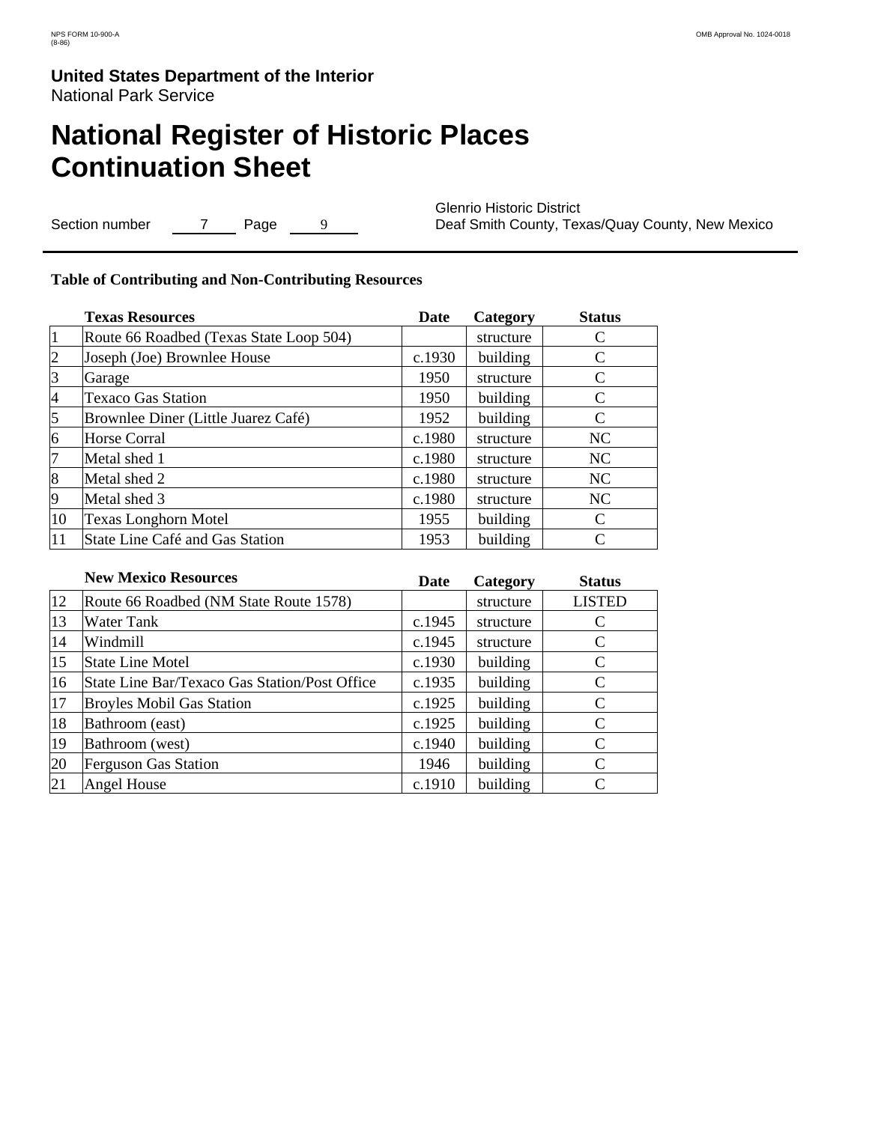# **National Register of Historic Places Continuation Sheet**

Section number 7 Page 9

Glenrio Historic District Deaf Smith County, Texas/Quay County, New Mexico

#### **Table of Contributing and Non-Contributing Resources**

|                 | <b>Texas Resources</b>                  | Date   | Category  | <b>Status</b>               |
|-----------------|-----------------------------------------|--------|-----------|-----------------------------|
| 1               | Route 66 Roadbed (Texas State Loop 504) |        | structure | C                           |
| $\overline{c}$  | Joseph (Joe) Brownlee House             | c.1930 | building  | C                           |
| $\vert 3 \vert$ | Garage                                  | 1950   | structure | C                           |
| 4               | <b>Texaco Gas Station</b>               | 1950   | building  | C                           |
| $\overline{5}$  | Brownlee Diner (Little Juarez Café)     | 1952   | building  | C                           |
| 6               | Horse Corral                            | c.1980 | structure | NC                          |
| 17              | Metal shed 1                            | c.1980 | structure | NC                          |
| 8               | Metal shed 2                            | c.1980 | structure | NC                          |
| $\overline{9}$  | Metal shed 3                            | c.1980 | structure | NC                          |
| 10              | <b>Texas Longhorn Motel</b>             | 1955   | building  | $\mathcal{C}_{\mathcal{C}}$ |
| 11              | State Line Café and Gas Station         | 1953   | building  | $\subset$                   |

|    | <b>New Mexico Resources</b>                   | Date   | Category  | <b>Status</b> |
|----|-----------------------------------------------|--------|-----------|---------------|
| 12 | Route 66 Roadbed (NM State Route 1578)        |        | structure | <b>LISTED</b> |
| 13 | Water Tank                                    | c.1945 | structure | C             |
| 14 | Windmill                                      | c.1945 | structure | C             |
| 15 | State Line Motel                              | c.1930 | building  | C             |
| 16 | State Line Bar/Texaco Gas Station/Post Office | c.1935 | building  | C             |
| 17 | <b>Broyles Mobil Gas Station</b>              | c.1925 | building  | C             |
| 18 | Bathroom (east)                               | c.1925 | building  | C             |
| 19 | Bathroom (west)                               | c.1940 | building  | C             |
| 20 | <b>Ferguson Gas Station</b>                   | 1946   | building  | C             |
| 21 | Angel House                                   | c.1910 | building  | C             |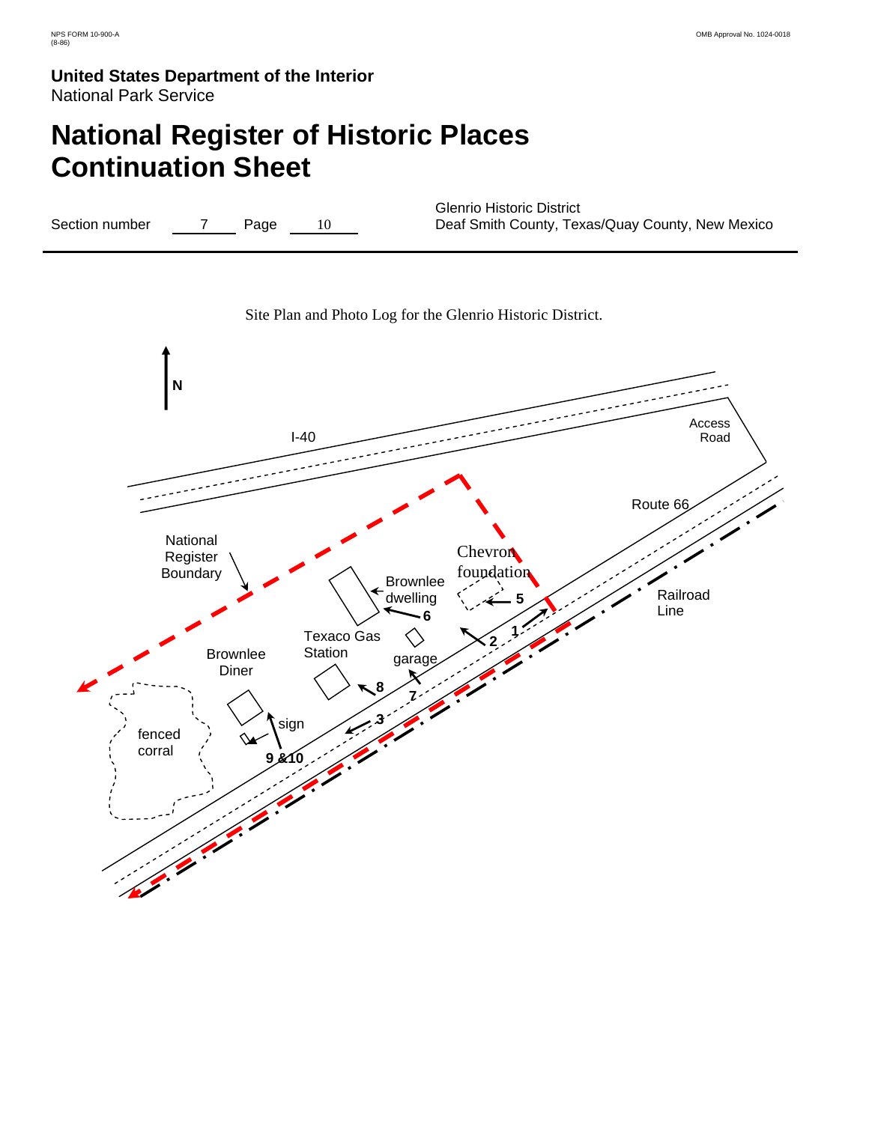# **National Register of Historic Places Continuation Sheet**

Section number  $\frac{7}{2}$  Page  $\frac{10}{2}$ 

Glenrio Historic District Deaf Smith County, Texas/Quay County, New Mexico



Site Plan and Photo Log for the Glenrio Historic District.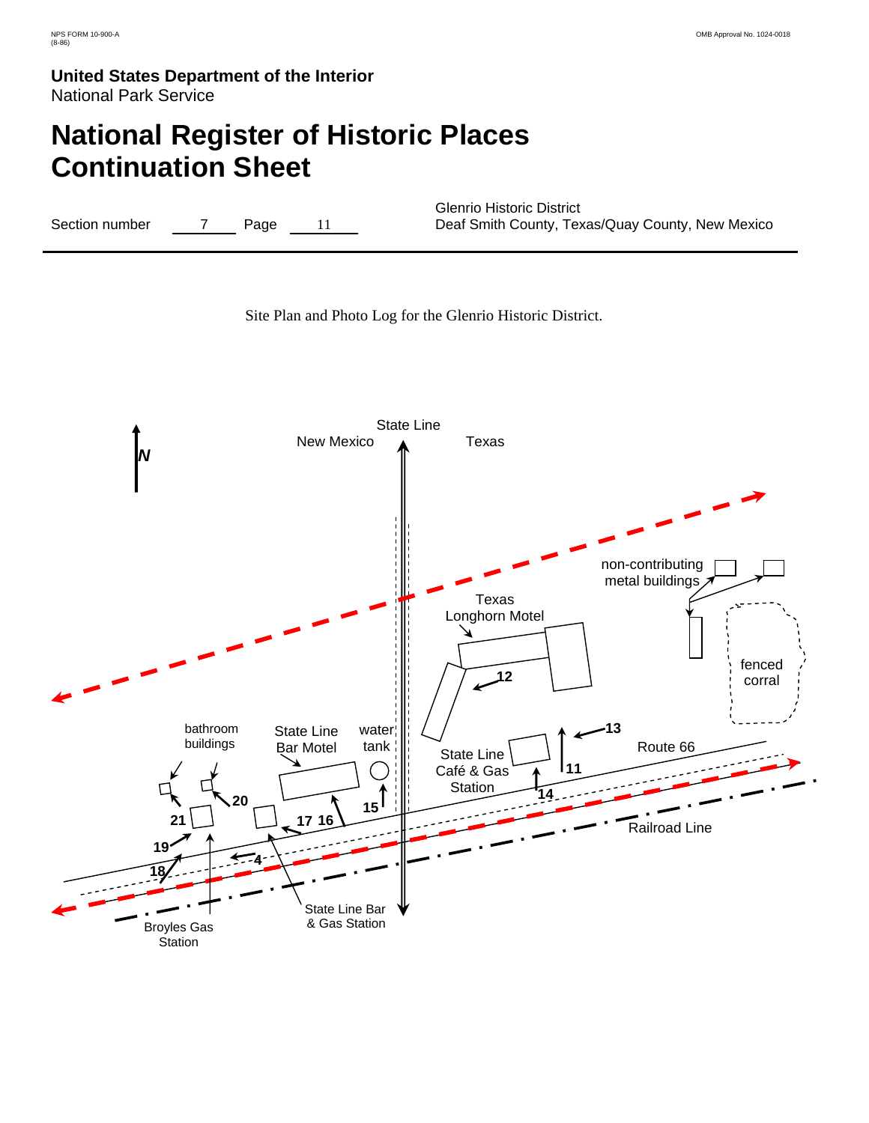# **National Register of Historic Places Continuation Sheet**

Section number  $\frac{7}{2}$  Page  $\frac{11}{2}$ 

Glenrio Historic District Deaf Smith County, Texas/Quay County, New Mexico

Site Plan and Photo Log for the Glenrio Historic District.

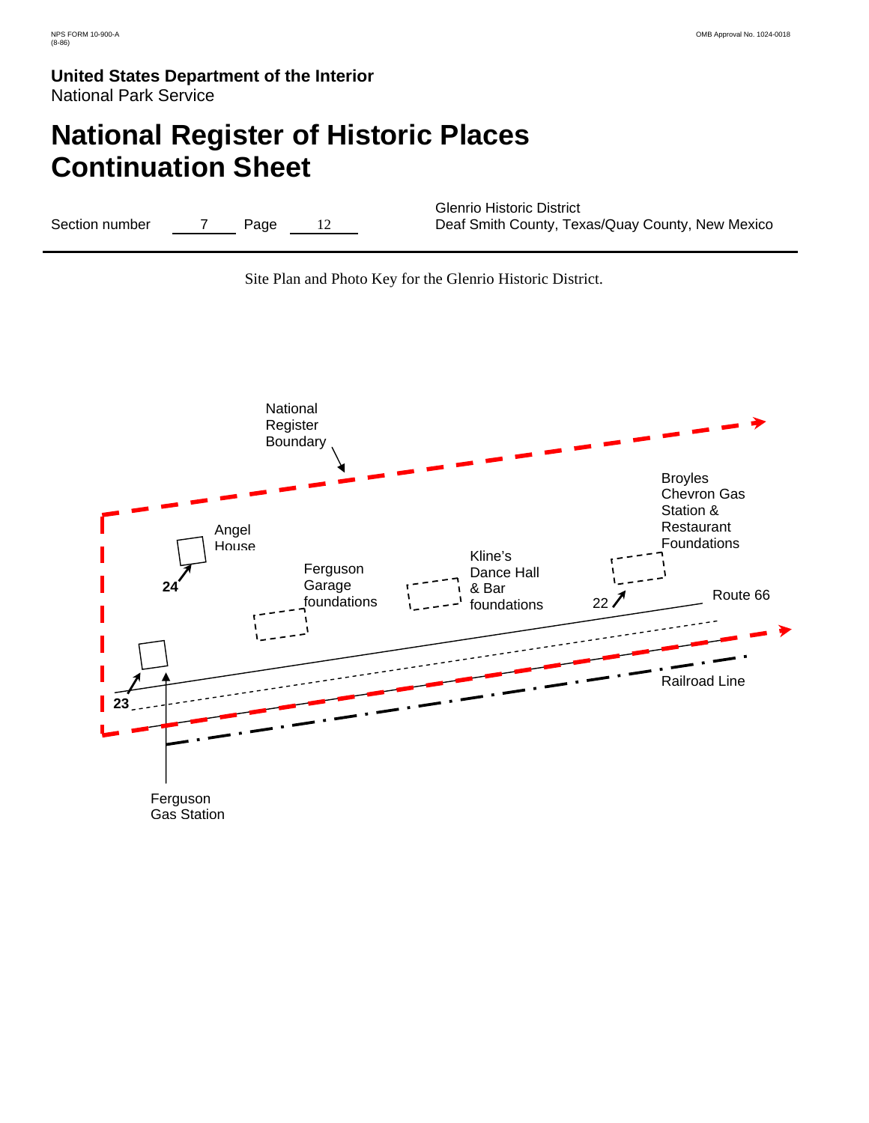# **National Register of Historic Places Continuation Sheet**

|                |      | <b>Glenrio Historic District</b>                 |
|----------------|------|--------------------------------------------------|
| Section number | Page | Deaf Smith County, Texas/Quay County, New Mexico |

Site Plan and Photo Key for the Glenrio Historic District.

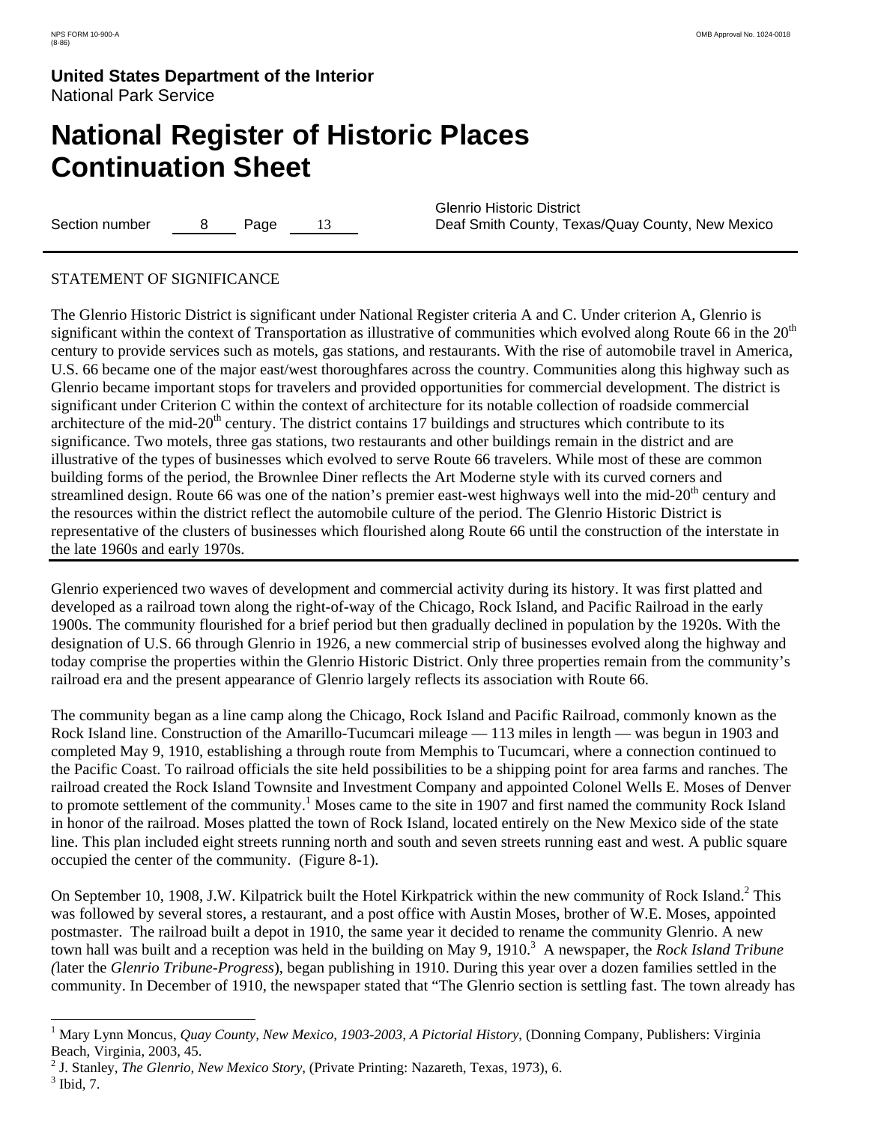# **National Register of Historic Places Continuation Sheet**

Section number 8 Page 13

Glenrio Historic District Deaf Smith County, Texas/Quay County, New Mexico

## STATEMENT OF SIGNIFICANCE

The Glenrio Historic District is significant under National Register criteria A and C. Under criterion A, Glenrio is significant within the context of Transportation as illustrative of communities which evolved along Route 66 in the  $20<sup>th</sup>$ century to provide services such as motels, gas stations, and restaurants. With the rise of automobile travel in America, U.S. 66 became one of the major east/west thoroughfares across the country. Communities along this highway such as Glenrio became important stops for travelers and provided opportunities for commercial development. The district is significant under Criterion C within the context of architecture for its notable collection of roadside commercial architecture of the mid- $20<sup>th</sup>$  century. The district contains 17 buildings and structures which contribute to its significance. Two motels, three gas stations, two restaurants and other buildings remain in the district and are illustrative of the types of businesses which evolved to serve Route 66 travelers. While most of these are common building forms of the period, the Brownlee Diner reflects the Art Moderne style with its curved corners and streamlined design. Route 66 was one of the nation's premier east-west highways well into the mid-20<sup>th</sup> century and the resources within the district reflect the automobile culture of the period. The Glenrio Historic District is representative of the clusters of businesses which flourished along Route 66 until the construction of the interstate in the late 1960s and early 1970s.

Glenrio experienced two waves of development and commercial activity during its history. It was first platted and developed as a railroad town along the right-of-way of the Chicago, Rock Island, and Pacific Railroad in the early 1900s. The community flourished for a brief period but then gradually declined in population by the 1920s. With the designation of U.S. 66 through Glenrio in 1926, a new commercial strip of businesses evolved along the highway and today comprise the properties within the Glenrio Historic District. Only three properties remain from the community's railroad era and the present appearance of Glenrio largely reflects its association with Route 66.

The community began as a line camp along the Chicago, Rock Island and Pacific Railroad, commonly known as the Rock Island line. Construction of the Amarillo-Tucumcari mileage — 113 miles in length — was begun in 1903 and completed May 9, 1910, establishing a through route from Memphis to Tucumcari, where a connection continued to the Pacific Coast. To railroad officials the site held possibilities to be a shipping point for area farms and ranches. The railroad created the Rock Island Townsite and Investment Company and appointed Colonel Wells E. Moses of Denver to promote settlement of the community.<sup>1</sup> Moses came to the site in 1907 and first named the community Rock Island in honor of the railroad. Moses platted the town of Rock Island, located entirely on the New Mexico side of the state line. This plan included eight streets running north and south and seven streets running east and west. A public square occupied the center of the community. (Figure 8-1).

On September 10, 1908, J.W. Kilpatrick built the Hotel Kirkpatrick within the new community of Rock Island.<sup>2</sup> This was followed by several stores, a restaurant, and a post office with Austin Moses, brother of W.E. Moses, appointed postmaster. The railroad built a depot in 1910, the same year it decided to rename the community Glenrio. A new town hall was built and a reception was held in the building on May 9, 1910.<sup>3</sup> A newspaper, the *Rock Island Tribune (*later the *Glenrio Tribune-Progress*), began publishing in 1910. During this year over a dozen families settled in the community. In December of 1910, the newspaper stated that "The Glenrio section is settling fast. The town already has

 $\overline{a}$ <sup>1</sup> Mary Lynn Moncus, *Quay County, New Mexico, 1903-2003, A Pictorial History*, (Donning Company, Publishers: Virginia Beach, Virginia, 2003, 45.

<sup>&</sup>lt;sup>2</sup> J. Stanley, *The Glenrio, New Mexico Story*, (Private Printing: Nazareth, Texas, 1973), 6. <sup>3</sup> Ibid. 7

 $3$  Ibid, 7.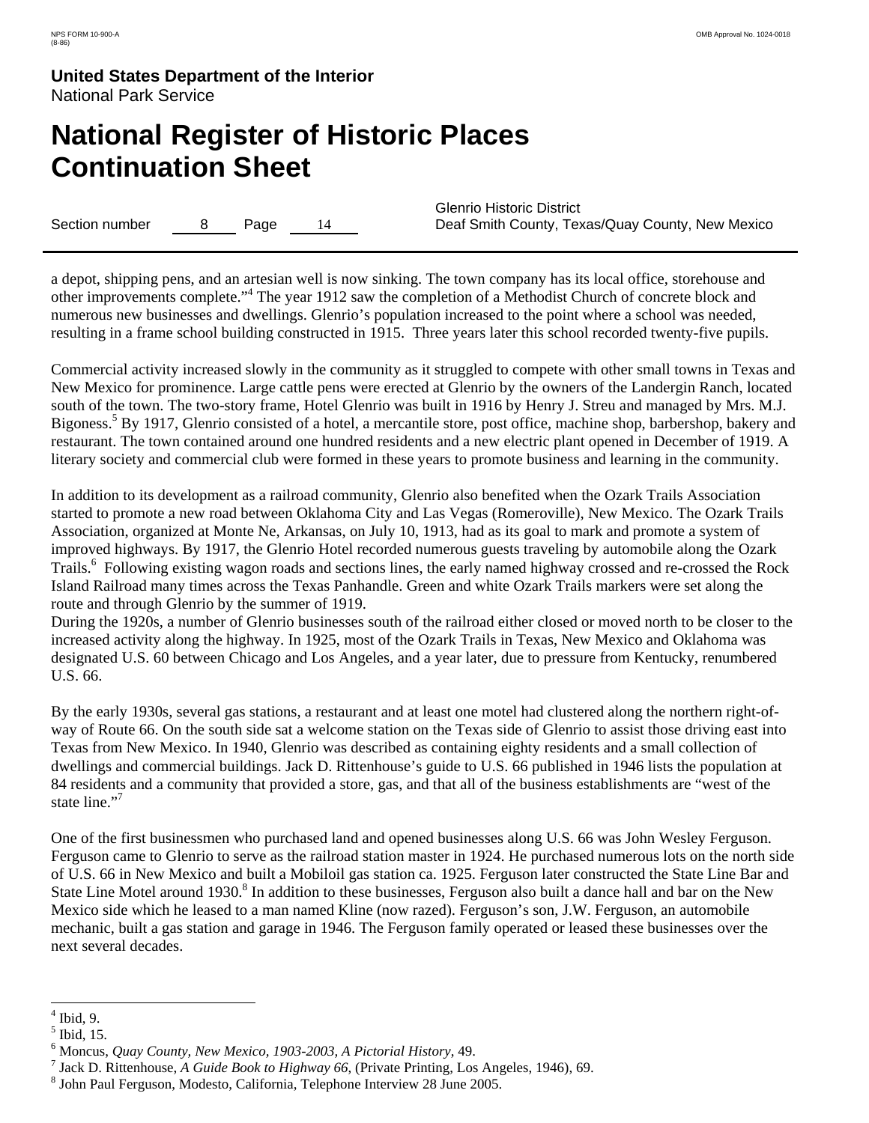# **National Register of Historic Places Continuation Sheet**

|                |      | <b>Glenrio Historic District</b>                 |
|----------------|------|--------------------------------------------------|
| Section number | Page | Deaf Smith County, Texas/Quay County, New Mexico |

a depot, shipping pens, and an artesian well is now sinking. The town company has its local office, storehouse and other improvements complete."4 The year 1912 saw the completion of a Methodist Church of concrete block and numerous new businesses and dwellings. Glenrio's population increased to the point where a school was needed, resulting in a frame school building constructed in 1915. Three years later this school recorded twenty-five pupils.

Commercial activity increased slowly in the community as it struggled to compete with other small towns in Texas and New Mexico for prominence. Large cattle pens were erected at Glenrio by the owners of the Landergin Ranch, located south of the town. The two-story frame, Hotel Glenrio was built in 1916 by Henry J. Streu and managed by Mrs. M.J. Bigoness.<sup>5</sup> By 1917, Glenrio consisted of a hotel, a mercantile store, post office, machine shop, barbershop, bakery and restaurant. The town contained around one hundred residents and a new electric plant opened in December of 1919. A literary society and commercial club were formed in these years to promote business and learning in the community.

In addition to its development as a railroad community, Glenrio also benefited when the Ozark Trails Association started to promote a new road between Oklahoma City and Las Vegas (Romeroville), New Mexico. The Ozark Trails Association, organized at Monte Ne, Arkansas, on July 10, 1913, had as its goal to mark and promote a system of improved highways. By 1917, the Glenrio Hotel recorded numerous guests traveling by automobile along the Ozark Trails.<sup>6</sup> Following existing wagon roads and sections lines, the early named highway crossed and re-crossed the Rock Island Railroad many times across the Texas Panhandle. Green and white Ozark Trails markers were set along the route and through Glenrio by the summer of 1919.

During the 1920s, a number of Glenrio businesses south of the railroad either closed or moved north to be closer to the increased activity along the highway. In 1925, most of the Ozark Trails in Texas, New Mexico and Oklahoma was designated U.S. 60 between Chicago and Los Angeles, and a year later, due to pressure from Kentucky, renumbered U.S. 66.

By the early 1930s, several gas stations, a restaurant and at least one motel had clustered along the northern right-ofway of Route 66. On the south side sat a welcome station on the Texas side of Glenrio to assist those driving east into Texas from New Mexico. In 1940, Glenrio was described as containing eighty residents and a small collection of dwellings and commercial buildings. Jack D. Rittenhouse's guide to U.S. 66 published in 1946 lists the population at 84 residents and a community that provided a store, gas, and that all of the business establishments are "west of the state line."<sup>7</sup>

One of the first businessmen who purchased land and opened businesses along U.S. 66 was John Wesley Ferguson. Ferguson came to Glenrio to serve as the railroad station master in 1924. He purchased numerous lots on the north side of U.S. 66 in New Mexico and built a Mobiloil gas station ca. 1925. Ferguson later constructed the State Line Bar and State Line Motel around 1930.<sup>8</sup> In addition to these businesses, Ferguson also built a dance hall and bar on the New Mexico side which he leased to a man named Kline (now razed). Ferguson's son, J.W. Ferguson, an automobile mechanic, built a gas station and garage in 1946. The Ferguson family operated or leased these businesses over the next several decades.

 $\overline{\phantom{a}}$  $4$  Ibid, 9.

 $<sup>5</sup>$  Ibid, 15.</sup>

<sup>&</sup>lt;sup>6</sup> Moncus, *Quay County, New Mexico, 1903-2003, A Pictorial History*, 49.<br><sup>7</sup> Jack D. Bittonboyce, A *Cyide Book to Highway 66*. (Private Printing, Loc

<sup>&</sup>lt;sup>7</sup> Jack D. Rittenhouse, *A Guide Book to Highway 66*, (Private Printing, Los Angeles, 1946), 69.

 $8$  John Paul Ferguson, Modesto, California, Telephone Interview 28 June 2005.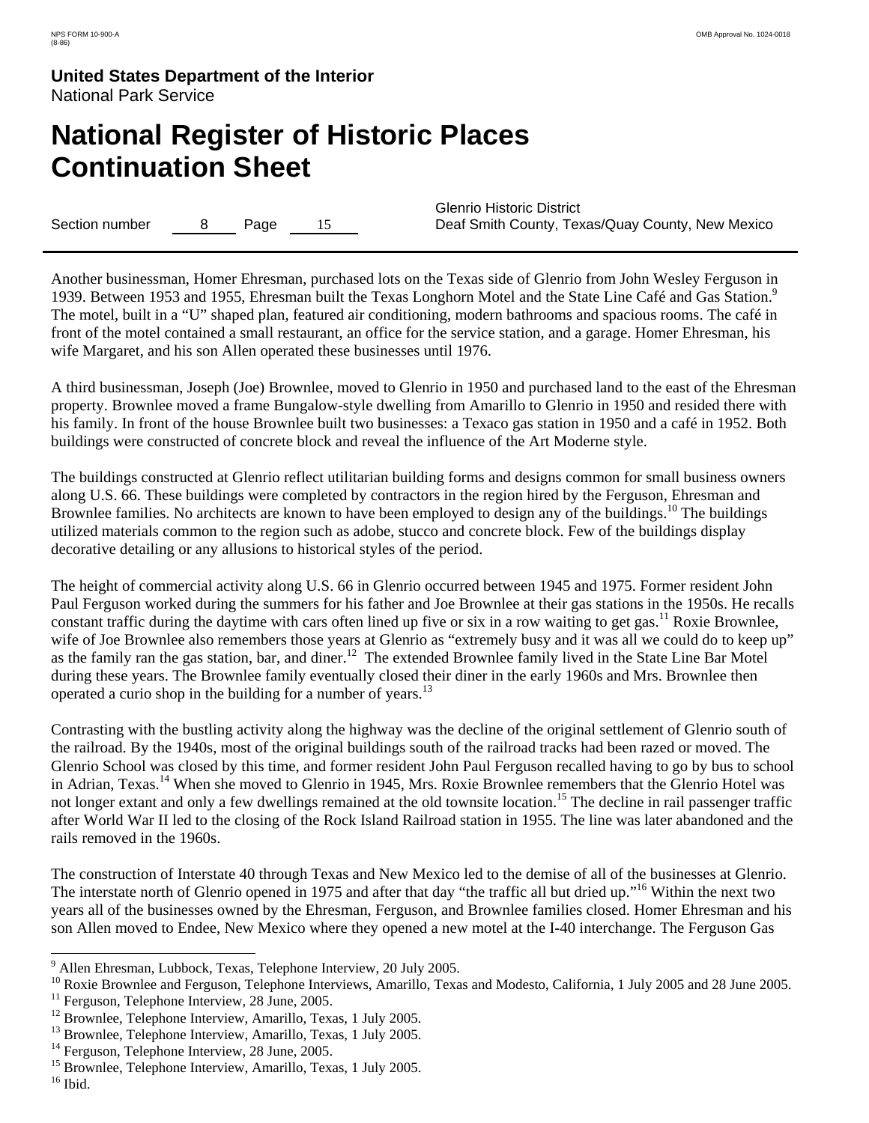# **National Register of Historic Places Continuation Sheet**

|                |      | <b>Glenrio Historic District</b>                 |
|----------------|------|--------------------------------------------------|
| Section number | Page | Deaf Smith County, Texas/Quay County, New Mexico |

Another businessman, Homer Ehresman, purchased lots on the Texas side of Glenrio from John Wesley Ferguson in 1939. Between 1953 and 1955, Ehresman built the Texas Longhorn Motel and the State Line Café and Gas Station.<sup>9</sup> The motel, built in a "U" shaped plan, featured air conditioning, modern bathrooms and spacious rooms. The café in front of the motel contained a small restaurant, an office for the service station, and a garage. Homer Ehresman, his wife Margaret, and his son Allen operated these businesses until 1976.

A third businessman, Joseph (Joe) Brownlee, moved to Glenrio in 1950 and purchased land to the east of the Ehresman property. Brownlee moved a frame Bungalow-style dwelling from Amarillo to Glenrio in 1950 and resided there with his family. In front of the house Brownlee built two businesses: a Texaco gas station in 1950 and a café in 1952. Both buildings were constructed of concrete block and reveal the influence of the Art Moderne style.

The buildings constructed at Glenrio reflect utilitarian building forms and designs common for small business owners along U.S. 66. These buildings were completed by contractors in the region hired by the Ferguson, Ehresman and Brownlee families. No architects are known to have been employed to design any of the buildings.<sup>10</sup> The buildings utilized materials common to the region such as adobe, stucco and concrete block. Few of the buildings display decorative detailing or any allusions to historical styles of the period.

The height of commercial activity along U.S. 66 in Glenrio occurred between 1945 and 1975. Former resident John Paul Ferguson worked during the summers for his father and Joe Brownlee at their gas stations in the 1950s. He recalls constant traffic during the daytime with cars often lined up five or six in a row waiting to get gas.<sup>11</sup> Roxie Brownlee, wife of Joe Brownlee also remembers those years at Glenrio as "extremely busy and it was all we could do to keep up" as the family ran the gas station, bar, and diner.<sup>12</sup> The extended Brownlee family lived in the State Line Bar Motel during these years. The Brownlee family eventually closed their diner in the early 1960s and Mrs. Brownlee then operated a curio shop in the building for a number of years.<sup>13</sup>

Contrasting with the bustling activity along the highway was the decline of the original settlement of Glenrio south of the railroad. By the 1940s, most of the original buildings south of the railroad tracks had been razed or moved. The Glenrio School was closed by this time, and former resident John Paul Ferguson recalled having to go by bus to school in Adrian, Texas.<sup>14</sup> When she moved to Glenrio in 1945, Mrs. Roxie Brownlee remembers that the Glenrio Hotel was not longer extant and only a few dwellings remained at the old townsite location.<sup>15</sup> The decline in rail passenger traffic after World War II led to the closing of the Rock Island Railroad station in 1955. The line was later abandoned and the rails removed in the 1960s.

The construction of Interstate 40 through Texas and New Mexico led to the demise of all of the businesses at Glenrio. The interstate north of Glenrio opened in 1975 and after that day "the traffic all but dried up."<sup>16</sup> Within the next two years all of the businesses owned by the Ehresman, Ferguson, and Brownlee families closed. Homer Ehresman and his son Allen moved to Endee, New Mexico where they opened a new motel at the I-40 interchange. The Ferguson Gas

 $^{16}$  Ibid.

 9 Allen Ehresman, Lubbock, Texas, Telephone Interview, 20 July 2005.

<sup>&</sup>lt;sup>10</sup> Roxie Brownlee and Ferguson, Telephone Interviews, Amarillo, Texas and Modesto, California, 1 July 2005 and 28 June 2005.<br><sup>11</sup> Ferguson, Telephone Interview, 28 June, 2005.

<sup>&</sup>lt;sup>12</sup> Brownlee, Telephone Interview, Amarillo, Texas, 1 July 2005.

<sup>&</sup>lt;sup>13</sup> Brownlee, Telephone Interview, Amarillo, Texas, 1 July 2005.

<sup>&</sup>lt;sup>14</sup> Ferguson, Telephone Interview, 28 June, 2005.

<sup>&</sup>lt;sup>15</sup> Brownlee, Telephone Interview, Amarillo, Texas, 1 July 2005.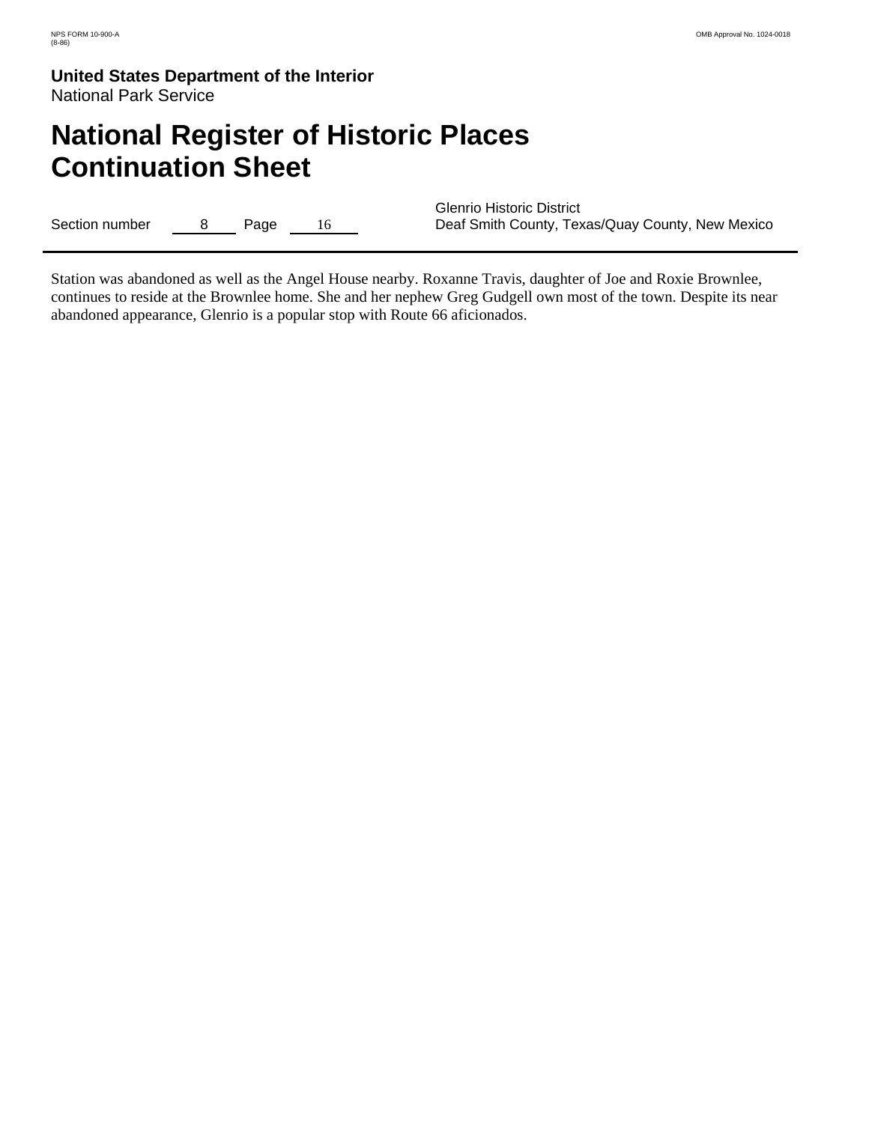# **National Register of Historic Places Continuation Sheet**

|                |      | <b>Glenrio Historic District</b>                 |
|----------------|------|--------------------------------------------------|
| Section number | Page | Deaf Smith County, Texas/Quay County, New Mexico |

Station was abandoned as well as the Angel House nearby. Roxanne Travis, daughter of Joe and Roxie Brownlee, continues to reside at the Brownlee home. She and her nephew Greg Gudgell own most of the town. Despite its near abandoned appearance, Glenrio is a popular stop with Route 66 aficionados.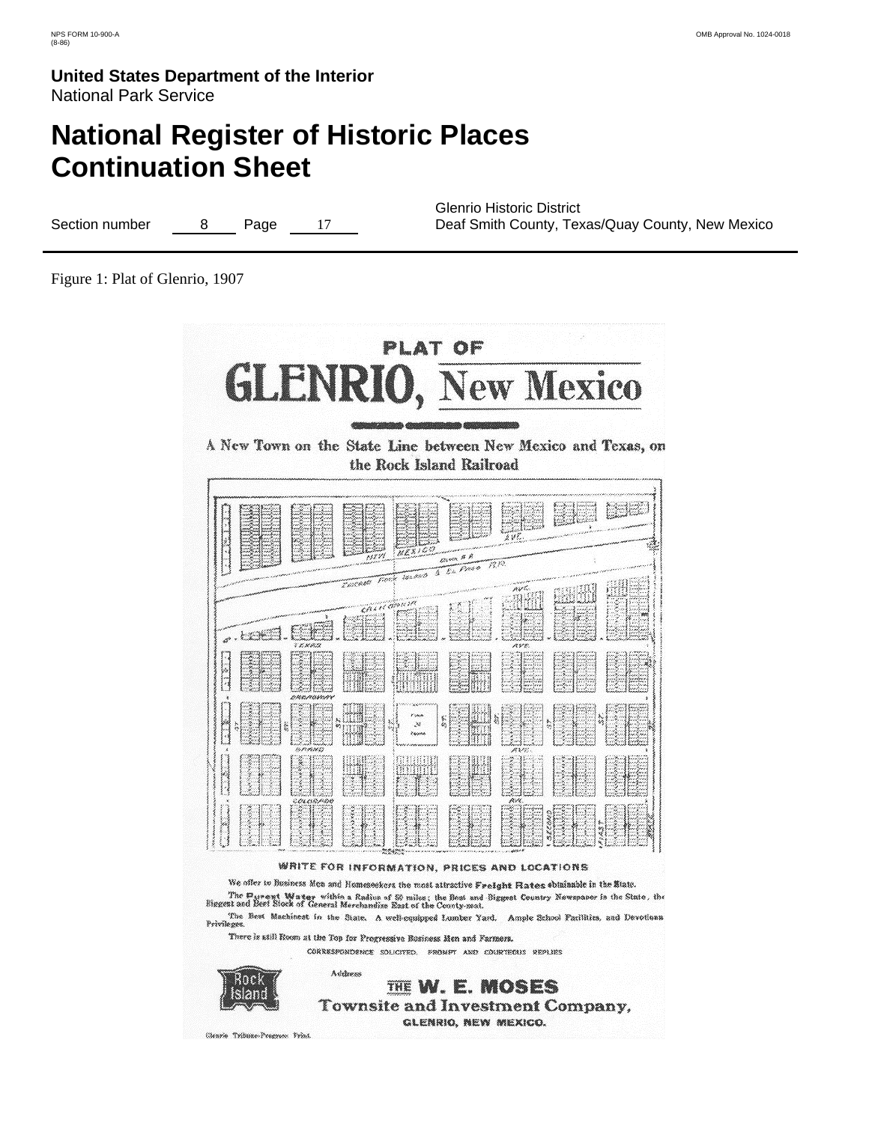## **National Register of Historic Places Continuation Sheet**

Section number 8 Page 17

Glenrio Historic District Deaf Smith County, Texas/Quay County, New Mexico

Figure 1: Plat of Glenrio, 1907

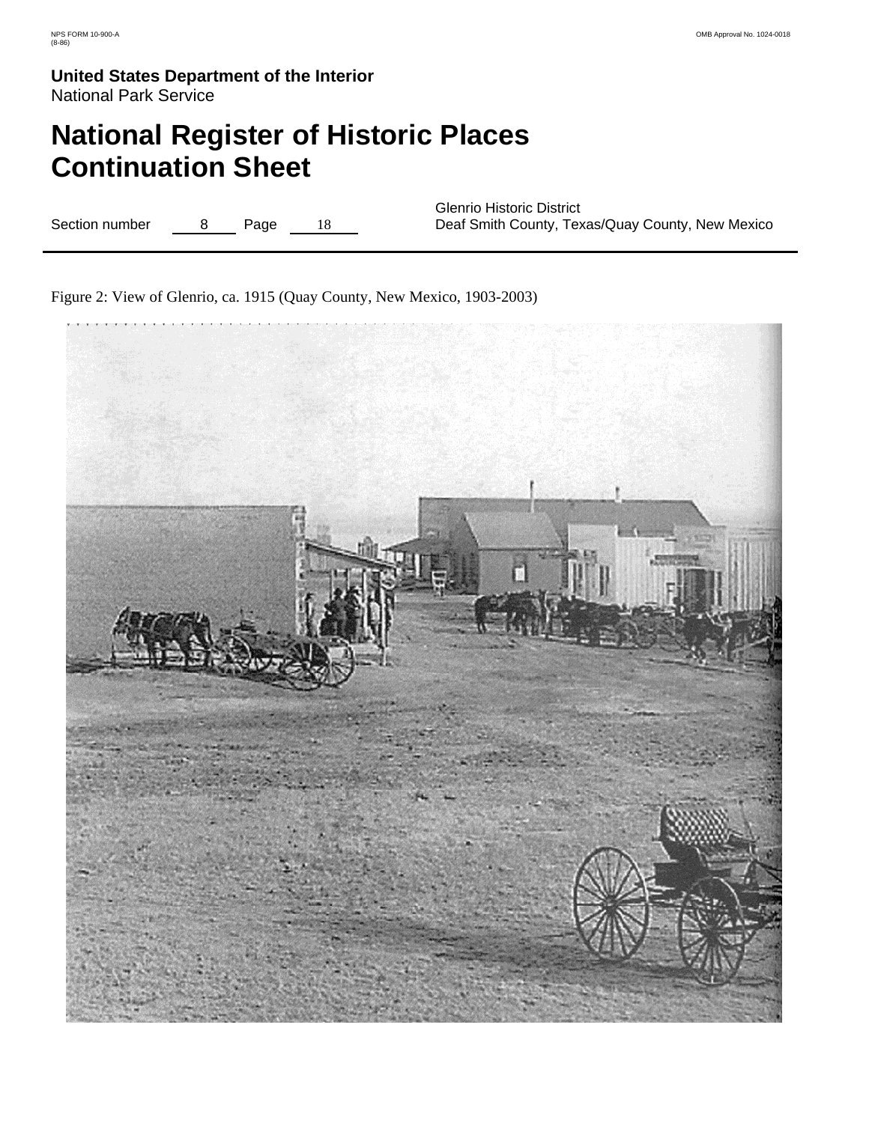# **National Register of Historic Places Continuation Sheet**

Section number <u>8 Page 18</u>

Glenrio Historic District Deaf Smith County, Texas/Quay County, New Mexico

Figure 2: View of Glenrio, ca. 1915 (Quay County, New Mexico, 1903-2003)

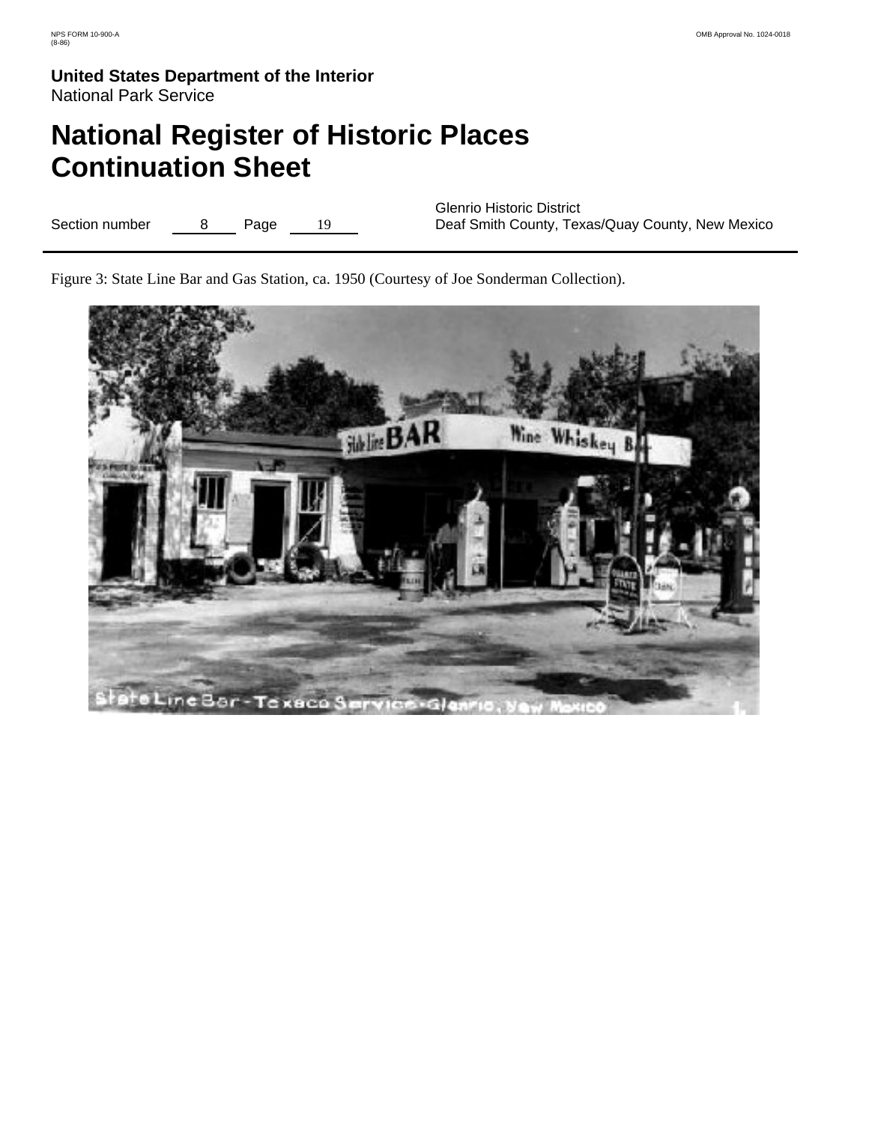# **National Register of Historic Places Continuation Sheet**

Section number  $\frac{8}{19}$  Page  $\frac{19}{19}$ 

Glenrio Historic District Deaf Smith County, Texas/Quay County, New Mexico

Figure 3: State Line Bar and Gas Station, ca. 1950 (Courtesy of Joe Sonderman Collection).

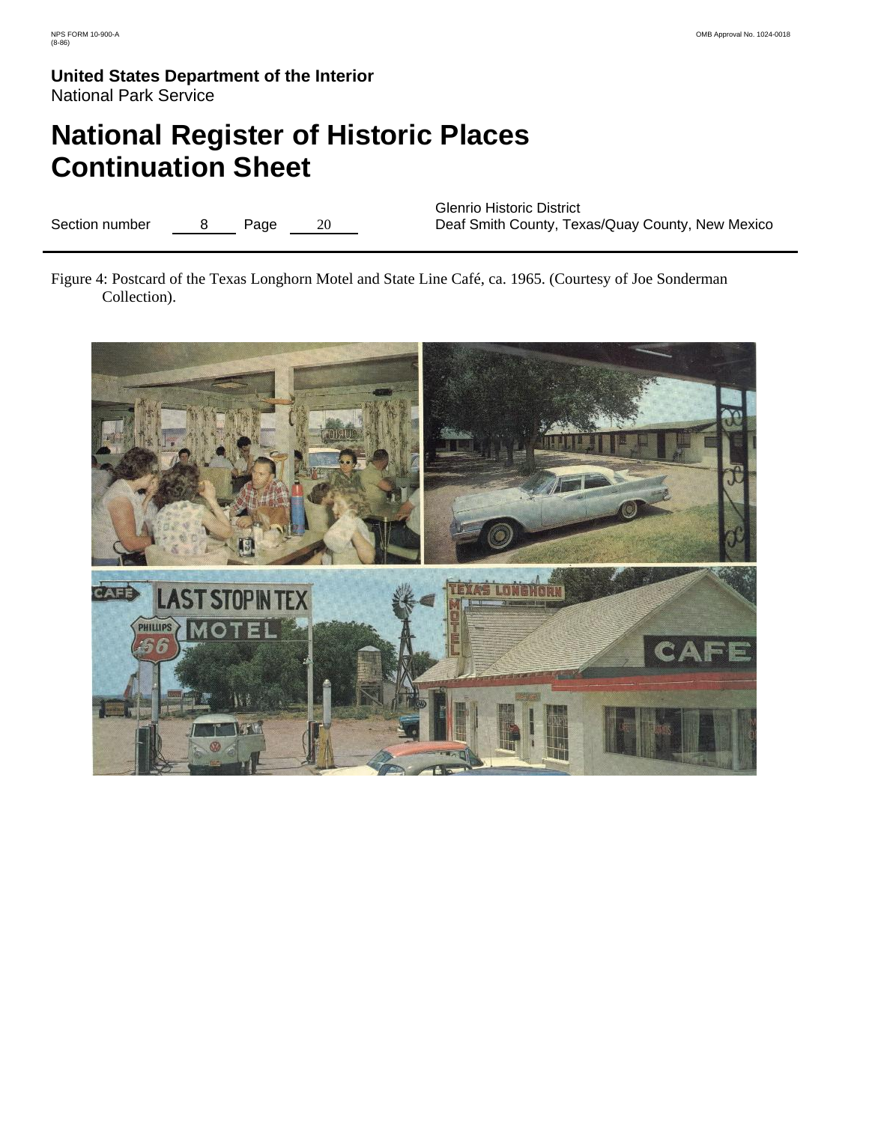# **National Register of Historic Places Continuation Sheet**

Section number  $\frac{8}{20}$  Page  $\frac{20}{20}$ 

Glenrio Historic District Deaf Smith County, Texas/Quay County, New Mexico

Figure 4: Postcard of the Texas Longhorn Motel and State Line Café, ca. 1965. (Courtesy of Joe Sonderman Collection).

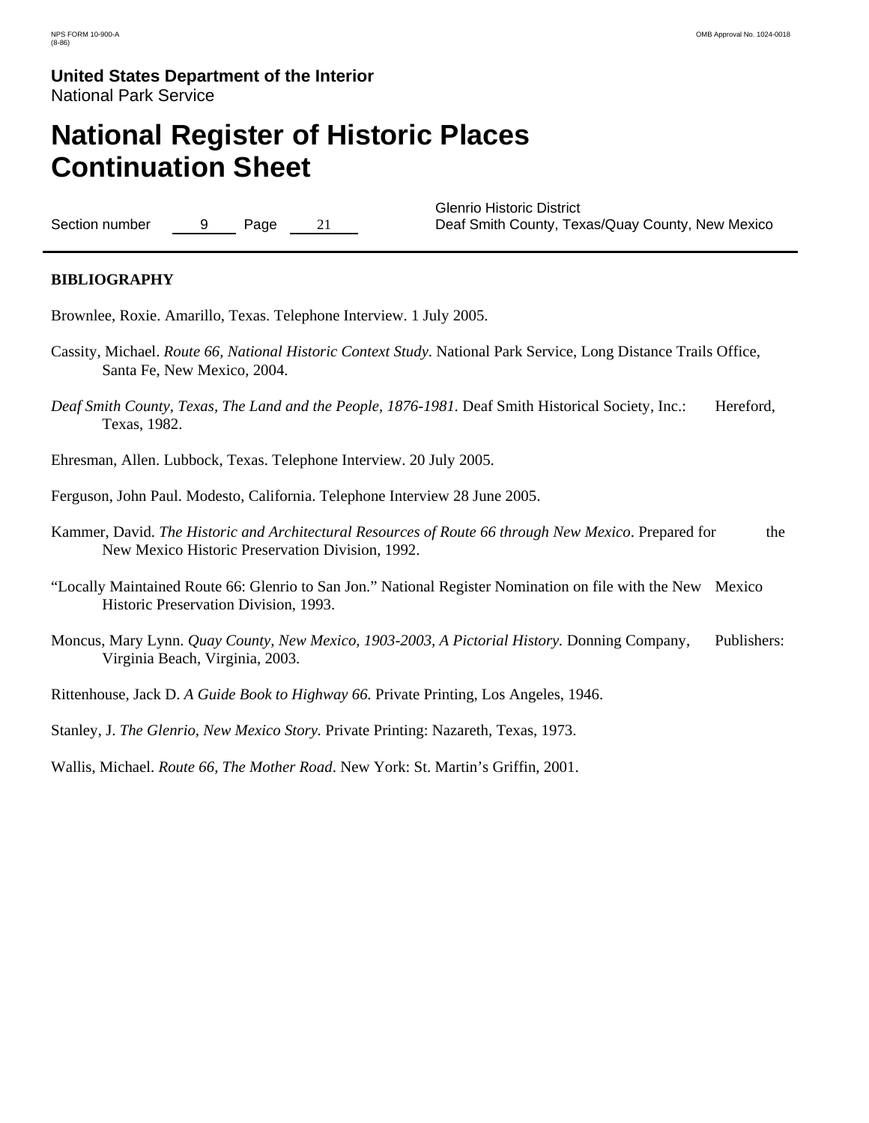# **National Register of Historic Places Continuation Sheet**

|                |      | <b>Glenrio Historic District</b>                 |
|----------------|------|--------------------------------------------------|
| Section number | Page | Deaf Smith County, Texas/Quay County, New Mexico |

### **BIBLIOGRAPHY**

Brownlee, Roxie. Amarillo, Texas. Telephone Interview. 1 July 2005.

- Cassity, Michael. *Route 66, National Historic Context Study*. National Park Service, Long Distance Trails Office, Santa Fe, New Mexico, 2004.
- *Deaf Smith County, Texas, The Land and the People, 1876-1981.* Deaf Smith Historical Society, Inc.: Hereford, Texas, 1982.
- Ehresman, Allen. Lubbock, Texas. Telephone Interview. 20 July 2005.
- Ferguson, John Paul. Modesto, California. Telephone Interview 28 June 2005.
- Kammer, David. *The Historic and Architectural Resources of Route 66 through New Mexico*. Prepared for the New Mexico Historic Preservation Division, 1992.
- "Locally Maintained Route 66: Glenrio to San Jon." National Register Nomination on file with the New Mexico Historic Preservation Division, 1993.
- Moncus, Mary Lynn. *Quay County, New Mexico, 1903-2003, A Pictorial History*. Donning Company, Publishers: Virginia Beach, Virginia, 2003.
- Rittenhouse, Jack D. *A Guide Book to Highway 66.* Private Printing, Los Angeles, 1946.
- Stanley, J. *The Glenrio, New Mexico Story.* Private Printing: Nazareth, Texas, 1973.

Wallis, Michael. *Route 66, The Mother Road*. New York: St. Martin's Griffin, 2001.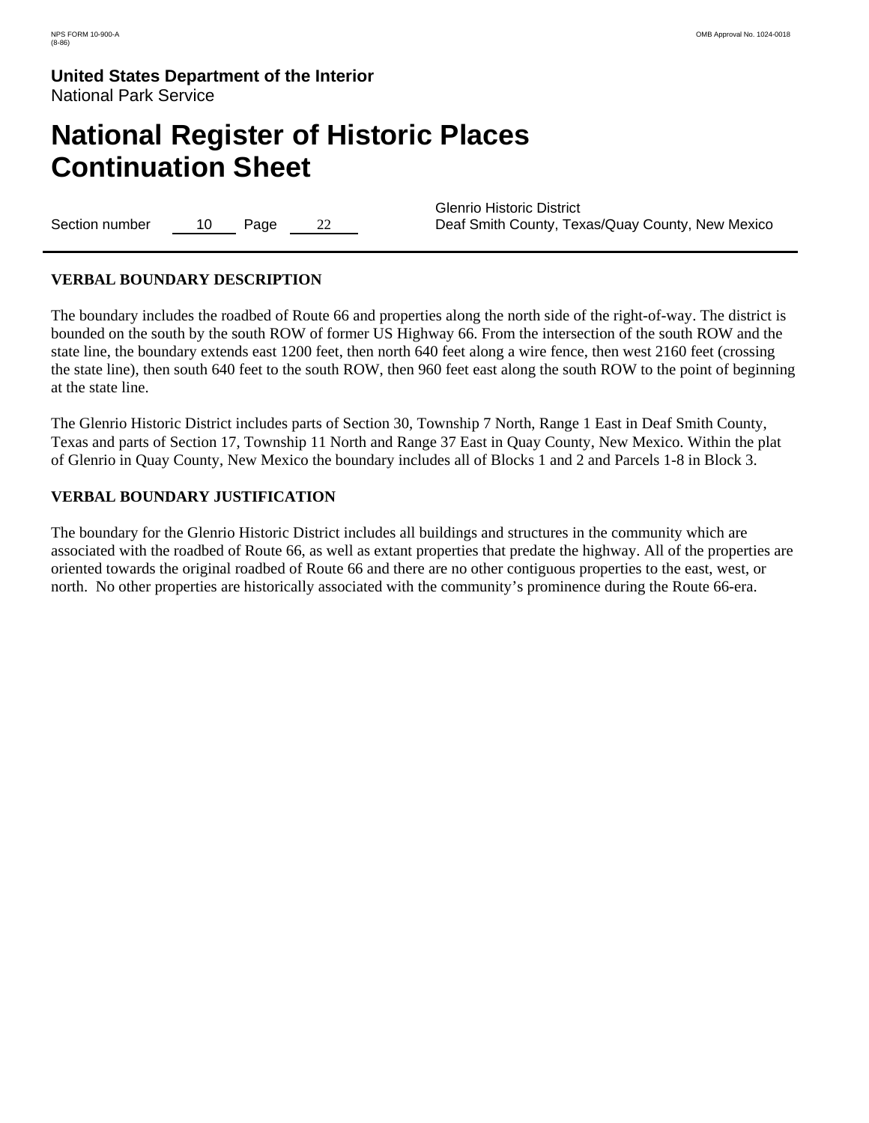# **National Register of Historic Places Continuation Sheet**

Section number 10 Page 22

Glenrio Historic District Deaf Smith County, Texas/Quay County, New Mexico

### **VERBAL BOUNDARY DESCRIPTION**

The boundary includes the roadbed of Route 66 and properties along the north side of the right-of-way. The district is bounded on the south by the south ROW of former US Highway 66. From the intersection of the south ROW and the state line, the boundary extends east 1200 feet, then north 640 feet along a wire fence, then west 2160 feet (crossing the state line), then south 640 feet to the south ROW, then 960 feet east along the south ROW to the point of beginning at the state line.

The Glenrio Historic District includes parts of Section 30, Township 7 North, Range 1 East in Deaf Smith County, Texas and parts of Section 17, Township 11 North and Range 37 East in Quay County, New Mexico. Within the plat of Glenrio in Quay County, New Mexico the boundary includes all of Blocks 1 and 2 and Parcels 1-8 in Block 3.

#### **VERBAL BOUNDARY JUSTIFICATION**

The boundary for the Glenrio Historic District includes all buildings and structures in the community which are associated with the roadbed of Route 66, as well as extant properties that predate the highway. All of the properties are oriented towards the original roadbed of Route 66 and there are no other contiguous properties to the east, west, or north. No other properties are historically associated with the community's prominence during the Route 66-era.